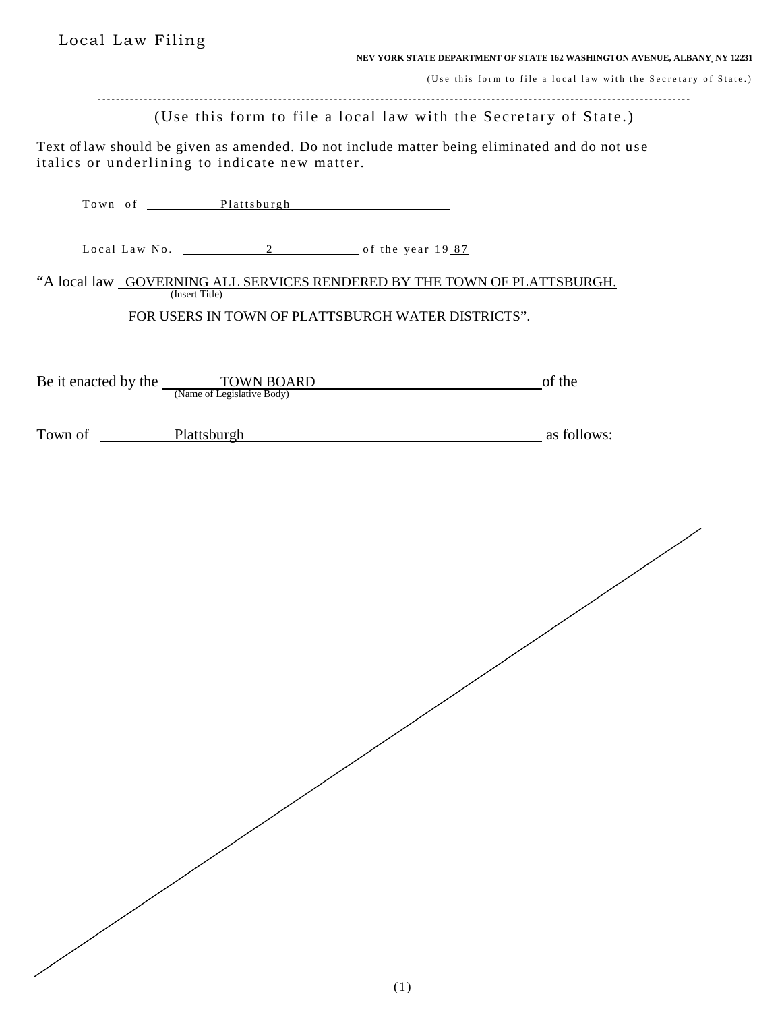Local Law Filing

**NEV YORK STATE DEPARTMENT OF STATE 162 WASHINGTON AVENUE, ALBANY, NY 12231**

(Use this form to file a local law with the Secretary of State.)

- - - - - - - - - - - - - - - - - - - - - - - - - - - - - - - - - - - - - - - - - - - - - - - - - - - - - - - - - - - - - - - - - - - - - - - - - - - - - - - - - - - - - - - - - - - - - - - - - - - - - - - - - - - - - - - - - - - - - - - - - - - - - - - -

(Use this form to file a local law with the Secretary of State.)

Text of law should be given as amended. Do not include matter being eliminated and do not use italics or underlining to indicate new matter.

|                     | Town of Plattsburgh                                                  |                                                                          |  |
|---------------------|----------------------------------------------------------------------|--------------------------------------------------------------------------|--|
|                     | Local Law No. 2 of the year 1987                                     |                                                                          |  |
|                     | (Insert Title)                                                       | "A local law GOVERNING ALL SERVICES RENDERED BY THE TOWN OF PLATTSBURGH. |  |
|                     |                                                                      | FOR USERS IN TOWN OF PLATTSBURGH WATER DISTRICTS".                       |  |
|                     | Be it enacted by the <u>TOWN BOARD</u><br>(Name of Legislative Body) | of the                                                                   |  |
| Town of Plattsburgh |                                                                      | as follows:                                                              |  |
|                     |                                                                      |                                                                          |  |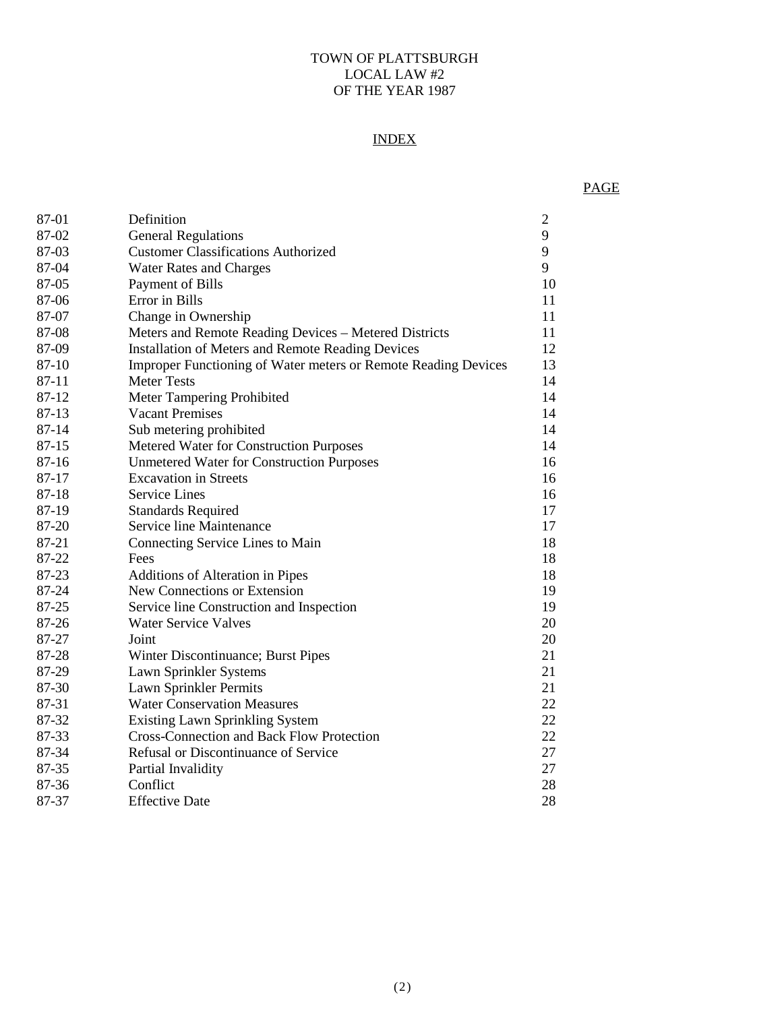#### TOWN OF PLATTSBURGH LOCAL LAW #2 OF THE YEAR 1987

# INDEX

# PAGE

| 87-01     | Definition                                                     | $\overline{2}$ |
|-----------|----------------------------------------------------------------|----------------|
| 87-02     | <b>General Regulations</b>                                     | 9              |
| 87-03     | <b>Customer Classifications Authorized</b>                     | 9              |
| 87-04     | <b>Water Rates and Charges</b>                                 | 9              |
| 87-05     | Payment of Bills                                               | 10             |
| 87-06     | Error in Bills                                                 | 11             |
| 87-07     | Change in Ownership                                            | 11             |
| 87-08     | Meters and Remote Reading Devices - Metered Districts          | 11             |
| 87-09     | <b>Installation of Meters and Remote Reading Devices</b>       | 12             |
| 87-10     | Improper Functioning of Water meters or Remote Reading Devices | 13             |
| $87 - 11$ | <b>Meter Tests</b>                                             | 14             |
| 87-12     | Meter Tampering Prohibited                                     | 14             |
| 87-13     | <b>Vacant Premises</b>                                         | 14             |
| 87-14     | Sub metering prohibited                                        | 14             |
| 87-15     | Metered Water for Construction Purposes                        | 14             |
| 87-16     | <b>Unmetered Water for Construction Purposes</b>               | 16             |
| 87-17     | <b>Excavation in Streets</b>                                   | 16             |
| 87-18     | <b>Service Lines</b>                                           | 16             |
| 87-19     | <b>Standards Required</b>                                      | 17             |
| 87-20     | Service line Maintenance                                       | 17             |
| 87-21     | Connecting Service Lines to Main                               | 18             |
| 87-22     | Fees                                                           | 18             |
| 87-23     | Additions of Alteration in Pipes                               | 18             |
| 87-24     | New Connections or Extension                                   | 19             |
| 87-25     | Service line Construction and Inspection                       | 19             |
| 87-26     | <b>Water Service Valves</b>                                    | 20             |
| 87-27     | Joint                                                          | 20             |
| 87-28     | Winter Discontinuance; Burst Pipes                             | 21             |
| 87-29     | Lawn Sprinkler Systems                                         | 21             |
| 87-30     | Lawn Sprinkler Permits                                         | 21             |
| 87-31     | <b>Water Conservation Measures</b>                             | 22             |
| 87-32     | <b>Existing Lawn Sprinkling System</b>                         | 22             |
| 87-33     | <b>Cross-Connection and Back Flow Protection</b>               | 22             |
| 87-34     | Refusal or Discontinuance of Service                           | 27             |
| 87-35     | Partial Invalidity                                             | 27             |
| 87-36     | Conflict                                                       | 28             |
| 87-37     | <b>Effective Date</b>                                          | 28             |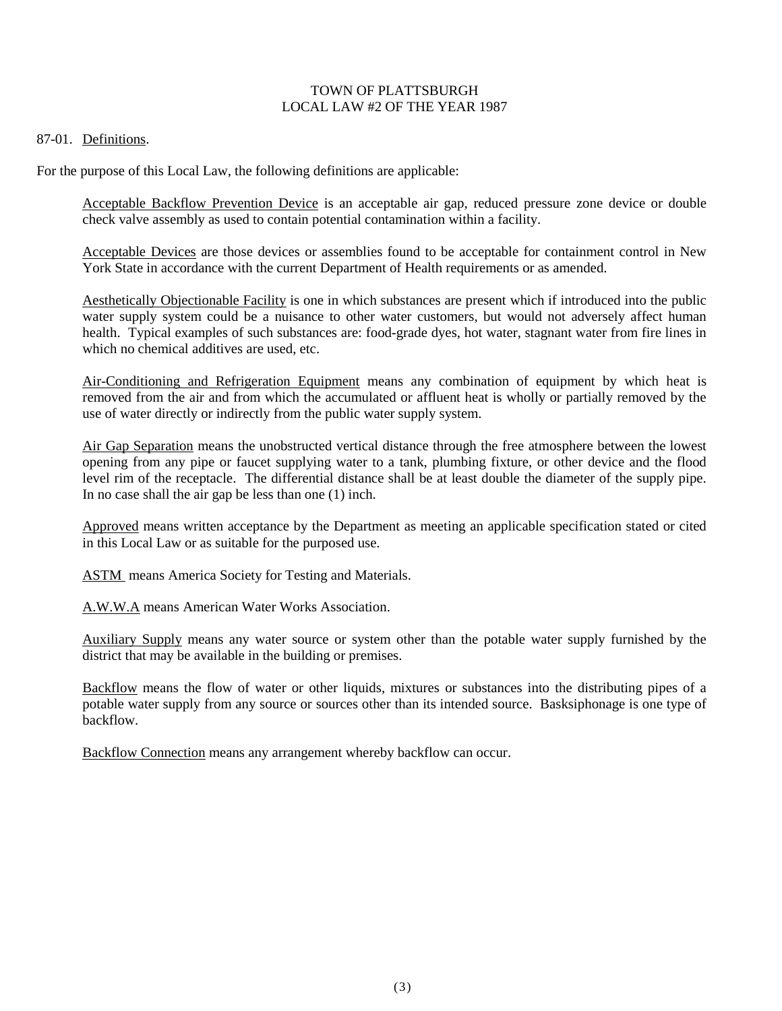### TOWN OF PLATTSBURGH LOCAL LAW #2 OF THE YEAR 1987

#### 87-01. Definitions.

For the purpose of this Local Law, the following definitions are applicable:

Acceptable Backflow Prevention Device is an acceptable air gap, reduced pressure zone device or double check valve assembly as used to contain potential contamination within a facility.

Acceptable Devices are those devices or assemblies found to be acceptable for containment control in New York State in accordance with the current Department of Health requirements or as amended.

Aesthetically Objectionable Facility is one in which substances are present which if introduced into the public water supply system could be a nuisance to other water customers, but would not adversely affect human health. Typical examples of such substances are: food-grade dyes, hot water, stagnant water from fire lines in which no chemical additives are used, etc.

Air-Conditioning and Refrigeration Equipment means any combination of equipment by which heat is removed from the air and from which the accumulated or affluent heat is wholly or partially removed by the use of water directly or indirectly from the public water supply system.

Air Gap Separation means the unobstructed vertical distance through the free atmosphere between the lowest opening from any pipe or faucet supplying water to a tank, plumbing fixture, or other device and the flood level rim of the receptacle. The differential distance shall be at least double the diameter of the supply pipe. In no case shall the air gap be less than one (1) inch.

Approved means written acceptance by the Department as meeting an applicable specification stated or cited in this Local Law or as suitable for the purposed use.

ASTM means America Society for Testing and Materials.

A.W.W.A means American Water Works Association.

Auxiliary Supply means any water source or system other than the potable water supply furnished by the district that may be available in the building or premises.

Backflow means the flow of water or other liquids, mixtures or substances into the distributing pipes of a potable water supply from any source or sources other than its intended source. Basksiphonage is one type of backflow.

Backflow Connection means any arrangement whereby backflow can occur.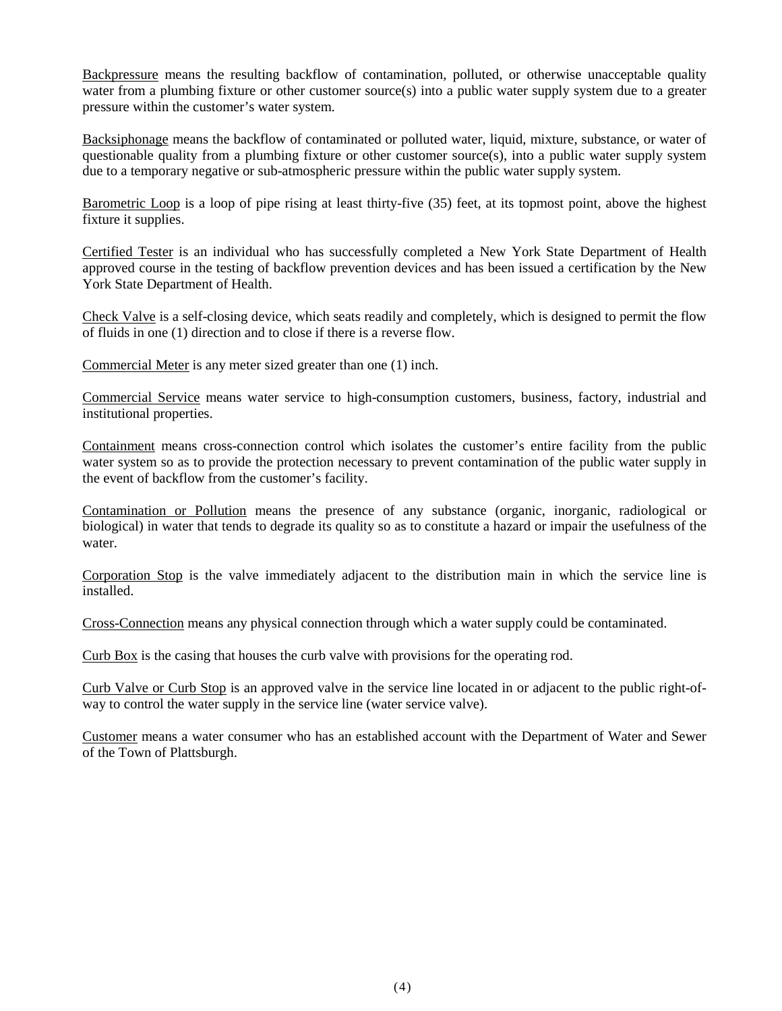Backpressure means the resulting backflow of contamination, polluted, or otherwise unacceptable quality water from a plumbing fixture or other customer source(s) into a public water supply system due to a greater pressure within the customer's water system.

Backsiphonage means the backflow of contaminated or polluted water, liquid, mixture, substance, or water of questionable quality from a plumbing fixture or other customer source(s), into a public water supply system due to a temporary negative or sub-atmospheric pressure within the public water supply system.

Barometric Loop is a loop of pipe rising at least thirty-five (35) feet, at its topmost point, above the highest fixture it supplies.

Certified Tester is an individual who has successfully completed a New York State Department of Health approved course in the testing of backflow prevention devices and has been issued a certification by the New York State Department of Health.

Check Valve is a self-closing device, which seats readily and completely, which is designed to permit the flow of fluids in one (1) direction and to close if there is a reverse flow.

Commercial Meter is any meter sized greater than one (1) inch.

Commercial Service means water service to high-consumption customers, business, factory, industrial and institutional properties.

Containment means cross-connection control which isolates the customer's entire facility from the public water system so as to provide the protection necessary to prevent contamination of the public water supply in the event of backflow from the customer's facility.

Contamination or Pollution means the presence of any substance (organic, inorganic, radiological or biological) in water that tends to degrade its quality so as to constitute a hazard or impair the usefulness of the water.

Corporation Stop is the valve immediately adjacent to the distribution main in which the service line is installed.

Cross-Connection means any physical connection through which a water supply could be contaminated.

Curb Box is the casing that houses the curb valve with provisions for the operating rod.

Curb Valve or Curb Stop is an approved valve in the service line located in or adjacent to the public right-ofway to control the water supply in the service line (water service valve).

Customer means a water consumer who has an established account with the Department of Water and Sewer of the Town of Plattsburgh.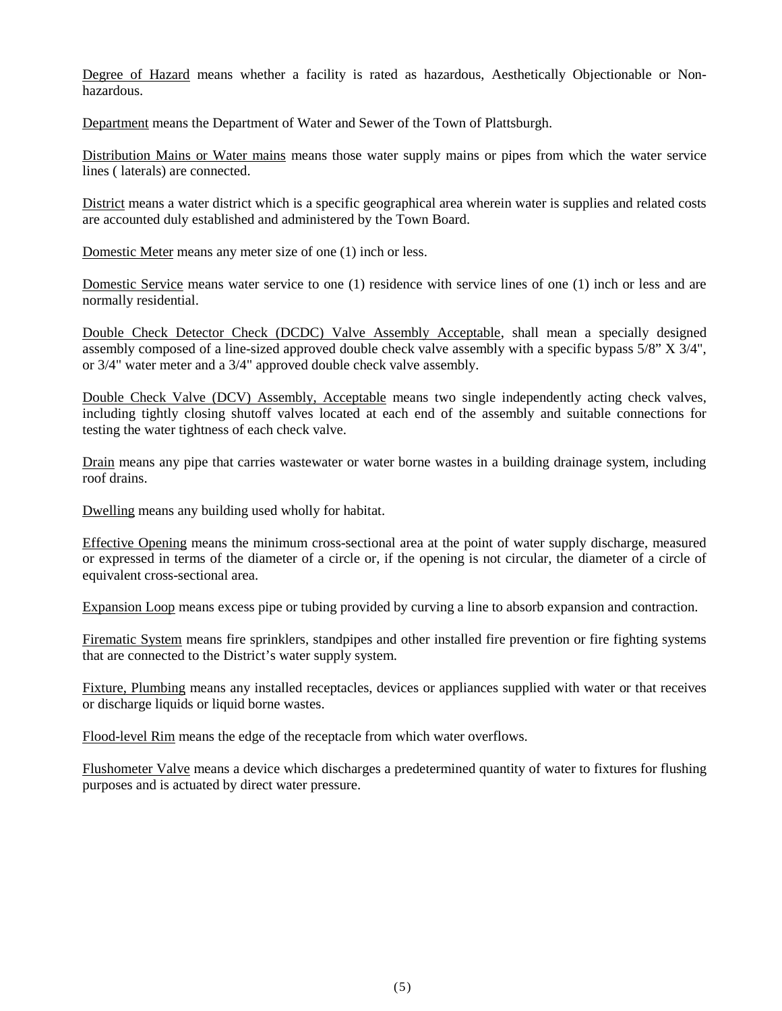Degree of Hazard means whether a facility is rated as hazardous, Aesthetically Objectionable or Nonhazardous.

Department means the Department of Water and Sewer of the Town of Plattsburgh.

Distribution Mains or Water mains means those water supply mains or pipes from which the water service lines ( laterals) are connected.

District means a water district which is a specific geographical area wherein water is supplies and related costs are accounted duly established and administered by the Town Board.

Domestic Meter means any meter size of one (1) inch or less.

Domestic Service means water service to one (1) residence with service lines of one (1) inch or less and are normally residential.

Double Check Detector Check (DCDC) Valve Assembly Acceptable, shall mean a specially designed assembly composed of a line-sized approved double check valve assembly with a specific bypass 5/8" X 3/4", or 3/4" water meter and a 3/4" approved double check valve assembly.

Double Check Valve (DCV) Assembly, Acceptable means two single independently acting check valves, including tightly closing shutoff valves located at each end of the assembly and suitable connections for testing the water tightness of each check valve.

Drain means any pipe that carries wastewater or water borne wastes in a building drainage system, including roof drains.

Dwelling means any building used wholly for habitat.

Effective Opening means the minimum cross-sectional area at the point of water supply discharge, measured or expressed in terms of the diameter of a circle or, if the opening is not circular, the diameter of a circle of equivalent cross-sectional area.

Expansion Loop means excess pipe or tubing provided by curving a line to absorb expansion and contraction.

Firematic System means fire sprinklers, standpipes and other installed fire prevention or fire fighting systems that are connected to the District's water supply system.

Fixture, Plumbing means any installed receptacles, devices or appliances supplied with water or that receives or discharge liquids or liquid borne wastes.

Flood-level Rim means the edge of the receptacle from which water overflows.

Flushometer Valve means a device which discharges a predetermined quantity of water to fixtures for flushing purposes and is actuated by direct water pressure.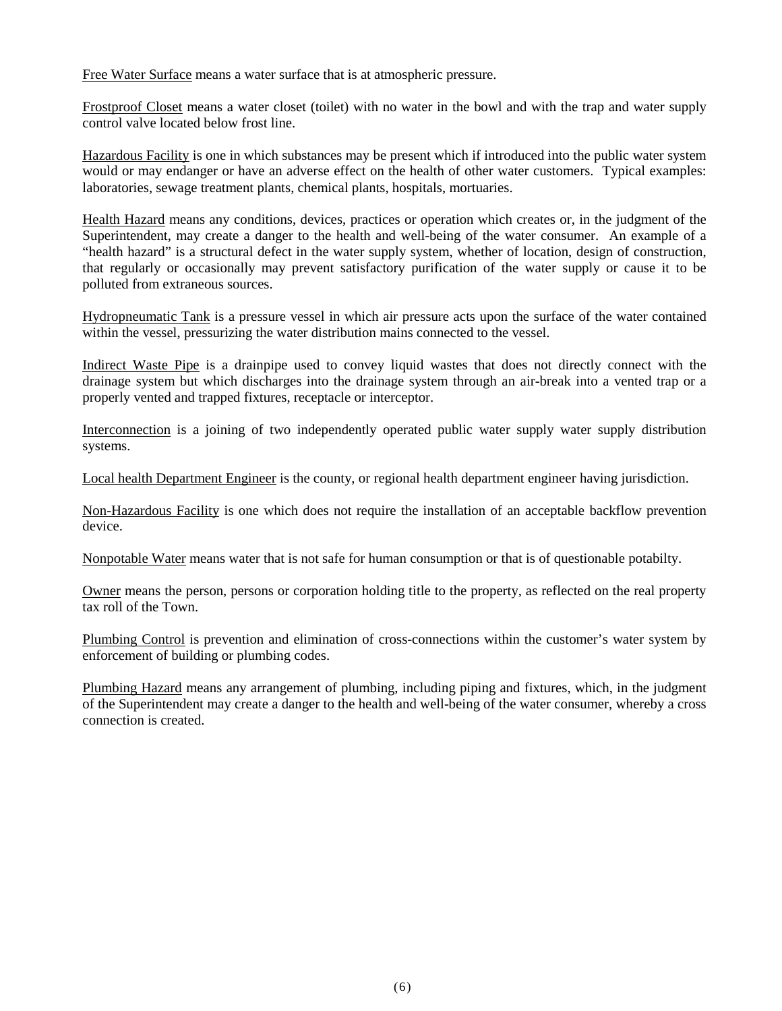Free Water Surface means a water surface that is at atmospheric pressure.

Frostproof Closet means a water closet (toilet) with no water in the bowl and with the trap and water supply control valve located below frost line.

Hazardous Facility is one in which substances may be present which if introduced into the public water system would or may endanger or have an adverse effect on the health of other water customers. Typical examples: laboratories, sewage treatment plants, chemical plants, hospitals, mortuaries.

Health Hazard means any conditions, devices, practices or operation which creates or, in the judgment of the Superintendent, may create a danger to the health and well-being of the water consumer. An example of a "health hazard" is a structural defect in the water supply system, whether of location, design of construction, that regularly or occasionally may prevent satisfactory purification of the water supply or cause it to be polluted from extraneous sources.

Hydropneumatic Tank is a pressure vessel in which air pressure acts upon the surface of the water contained within the vessel, pressurizing the water distribution mains connected to the vessel.

Indirect Waste Pipe is a drainpipe used to convey liquid wastes that does not directly connect with the drainage system but which discharges into the drainage system through an air-break into a vented trap or a properly vented and trapped fixtures, receptacle or interceptor.

Interconnection is a joining of two independently operated public water supply water supply distribution systems.

Local health Department Engineer is the county, or regional health department engineer having jurisdiction.

Non-Hazardous Facility is one which does not require the installation of an acceptable backflow prevention device.

Nonpotable Water means water that is not safe for human consumption or that is of questionable potabilty.

Owner means the person, persons or corporation holding title to the property, as reflected on the real property tax roll of the Town.

Plumbing Control is prevention and elimination of cross-connections within the customer's water system by enforcement of building or plumbing codes.

Plumbing Hazard means any arrangement of plumbing, including piping and fixtures, which, in the judgment of the Superintendent may create a danger to the health and well-being of the water consumer, whereby a cross connection is created.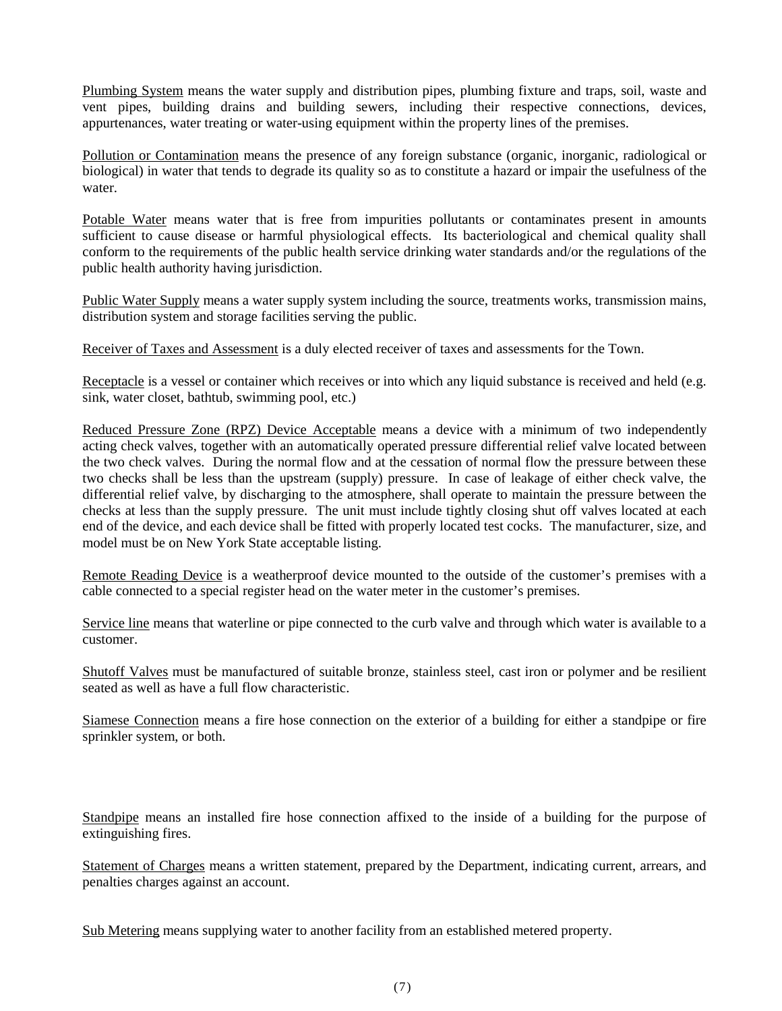Plumbing System means the water supply and distribution pipes, plumbing fixture and traps, soil, waste and vent pipes, building drains and building sewers, including their respective connections, devices, appurtenances, water treating or water-using equipment within the property lines of the premises.

Pollution or Contamination means the presence of any foreign substance (organic, inorganic, radiological or biological) in water that tends to degrade its quality so as to constitute a hazard or impair the usefulness of the water.

Potable Water means water that is free from impurities pollutants or contaminates present in amounts sufficient to cause disease or harmful physiological effects. Its bacteriological and chemical quality shall conform to the requirements of the public health service drinking water standards and/or the regulations of the public health authority having jurisdiction.

Public Water Supply means a water supply system including the source, treatments works, transmission mains, distribution system and storage facilities serving the public.

Receiver of Taxes and Assessment is a duly elected receiver of taxes and assessments for the Town.

Receptacle is a vessel or container which receives or into which any liquid substance is received and held (e.g. sink, water closet, bathtub, swimming pool, etc.)

Reduced Pressure Zone (RPZ) Device Acceptable means a device with a minimum of two independently acting check valves, together with an automatically operated pressure differential relief valve located between the two check valves. During the normal flow and at the cessation of normal flow the pressure between these two checks shall be less than the upstream (supply) pressure. In case of leakage of either check valve, the differential relief valve, by discharging to the atmosphere, shall operate to maintain the pressure between the checks at less than the supply pressure. The unit must include tightly closing shut off valves located at each end of the device, and each device shall be fitted with properly located test cocks. The manufacturer, size, and model must be on New York State acceptable listing.

Remote Reading Device is a weatherproof device mounted to the outside of the customer's premises with a cable connected to a special register head on the water meter in the customer's premises.

Service line means that waterline or pipe connected to the curb valve and through which water is available to a customer.

Shutoff Valves must be manufactured of suitable bronze, stainless steel, cast iron or polymer and be resilient seated as well as have a full flow characteristic.

Siamese Connection means a fire hose connection on the exterior of a building for either a standpipe or fire sprinkler system, or both.

Standpipe means an installed fire hose connection affixed to the inside of a building for the purpose of extinguishing fires.

Statement of Charges means a written statement, prepared by the Department, indicating current, arrears, and penalties charges against an account.

Sub Metering means supplying water to another facility from an established metered property.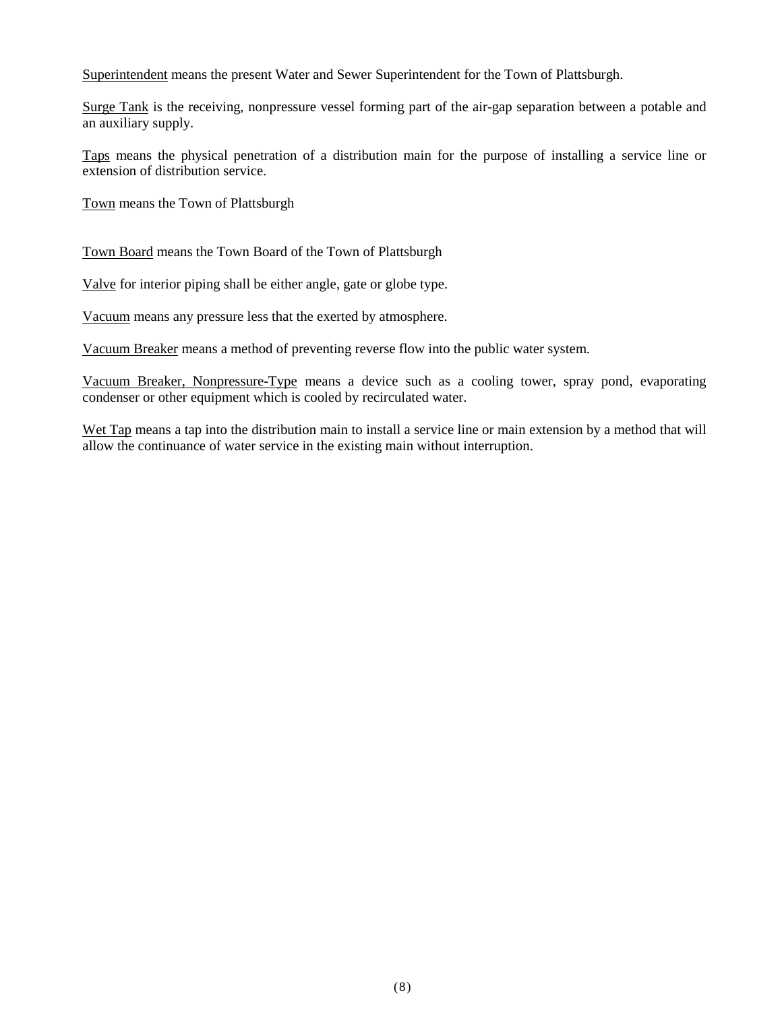Superintendent means the present Water and Sewer Superintendent for the Town of Plattsburgh.

Surge Tank is the receiving, nonpressure vessel forming part of the air-gap separation between a potable and an auxiliary supply.

Taps means the physical penetration of a distribution main for the purpose of installing a service line or extension of distribution service.

Town means the Town of Plattsburgh

Town Board means the Town Board of the Town of Plattsburgh

Valve for interior piping shall be either angle, gate or globe type.

Vacuum means any pressure less that the exerted by atmosphere.

Vacuum Breaker means a method of preventing reverse flow into the public water system.

Vacuum Breaker, Nonpressure-Type means a device such as a cooling tower, spray pond, evaporating condenser or other equipment which is cooled by recirculated water.

Wet Tap means a tap into the distribution main to install a service line or main extension by a method that will allow the continuance of water service in the existing main without interruption.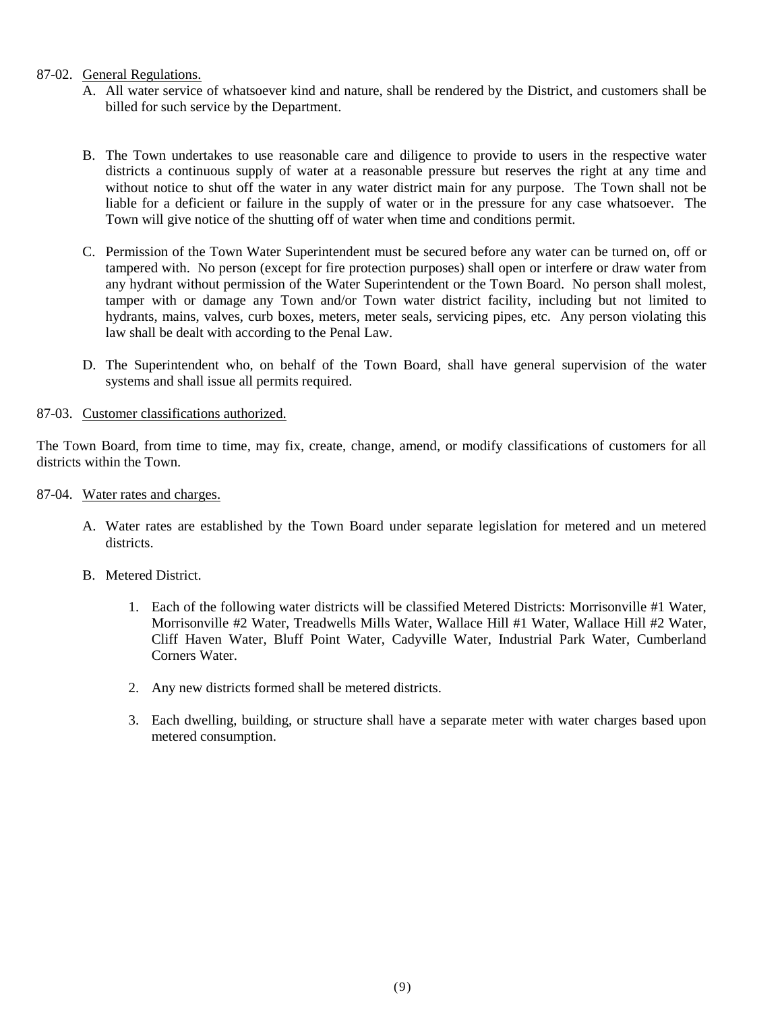## 87-02. General Regulations.

- A. All water service of whatsoever kind and nature, shall be rendered by the District, and customers shall be billed for such service by the Department.
- B. The Town undertakes to use reasonable care and diligence to provide to users in the respective water districts a continuous supply of water at a reasonable pressure but reserves the right at any time and without notice to shut off the water in any water district main for any purpose. The Town shall not be liable for a deficient or failure in the supply of water or in the pressure for any case whatsoever. The Town will give notice of the shutting off of water when time and conditions permit.
- C. Permission of the Town Water Superintendent must be secured before any water can be turned on, off or tampered with. No person (except for fire protection purposes) shall open or interfere or draw water from any hydrant without permission of the Water Superintendent or the Town Board. No person shall molest, tamper with or damage any Town and/or Town water district facility, including but not limited to hydrants, mains, valves, curb boxes, meters, meter seals, servicing pipes, etc. Any person violating this law shall be dealt with according to the Penal Law.
- D. The Superintendent who, on behalf of the Town Board, shall have general supervision of the water systems and shall issue all permits required.

## 87-03. Customer classifications authorized.

The Town Board, from time to time, may fix, create, change, amend, or modify classifications of customers for all districts within the Town.

- 87-04. Water rates and charges.
	- A. Water rates are established by the Town Board under separate legislation for metered and un metered districts.
	- B. Metered District.
		- 1. Each of the following water districts will be classified Metered Districts: Morrisonville #1 Water, Morrisonville #2 Water, Treadwells Mills Water, Wallace Hill #1 Water, Wallace Hill #2 Water, Cliff Haven Water, Bluff Point Water, Cadyville Water, Industrial Park Water, Cumberland Corners Water.
		- 2. Any new districts formed shall be metered districts.
		- 3. Each dwelling, building, or structure shall have a separate meter with water charges based upon metered consumption.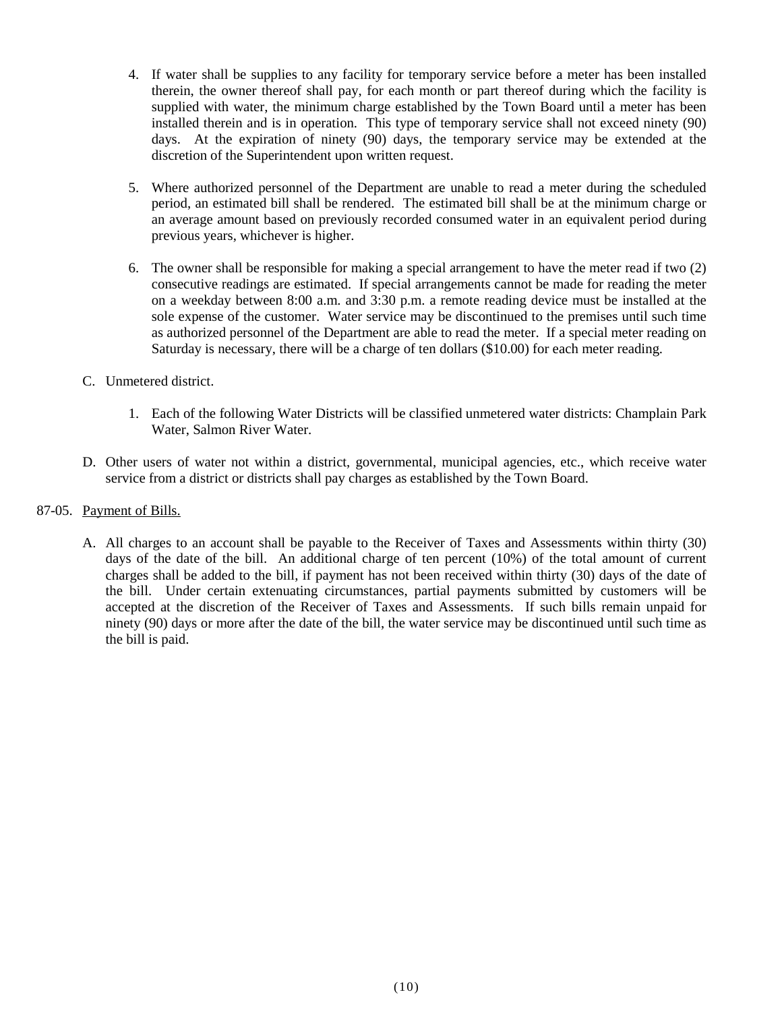- 4. If water shall be supplies to any facility for temporary service before a meter has been installed therein, the owner thereof shall pay, for each month or part thereof during which the facility is supplied with water, the minimum charge established by the Town Board until a meter has been installed therein and is in operation. This type of temporary service shall not exceed ninety (90) days. At the expiration of ninety (90) days, the temporary service may be extended at the discretion of the Superintendent upon written request.
- 5. Where authorized personnel of the Department are unable to read a meter during the scheduled period, an estimated bill shall be rendered. The estimated bill shall be at the minimum charge or an average amount based on previously recorded consumed water in an equivalent period during previous years, whichever is higher.
- 6. The owner shall be responsible for making a special arrangement to have the meter read if two (2) consecutive readings are estimated. If special arrangements cannot be made for reading the meter on a weekday between 8:00 a.m. and 3:30 p.m. a remote reading device must be installed at the sole expense of the customer. Water service may be discontinued to the premises until such time as authorized personnel of the Department are able to read the meter. If a special meter reading on Saturday is necessary, there will be a charge of ten dollars (\$10.00) for each meter reading.
- C. Unmetered district.
	- 1. Each of the following Water Districts will be classified unmetered water districts: Champlain Park Water, Salmon River Water.
- D. Other users of water not within a district, governmental, municipal agencies, etc., which receive water service from a district or districts shall pay charges as established by the Town Board.
- 87-05. Payment of Bills.
	- A. All charges to an account shall be payable to the Receiver of Taxes and Assessments within thirty (30) days of the date of the bill. An additional charge of ten percent (10%) of the total amount of current charges shall be added to the bill, if payment has not been received within thirty (30) days of the date of the bill. Under certain extenuating circumstances, partial payments submitted by customers will be accepted at the discretion of the Receiver of Taxes and Assessments. If such bills remain unpaid for ninety (90) days or more after the date of the bill, the water service may be discontinued until such time as the bill is paid.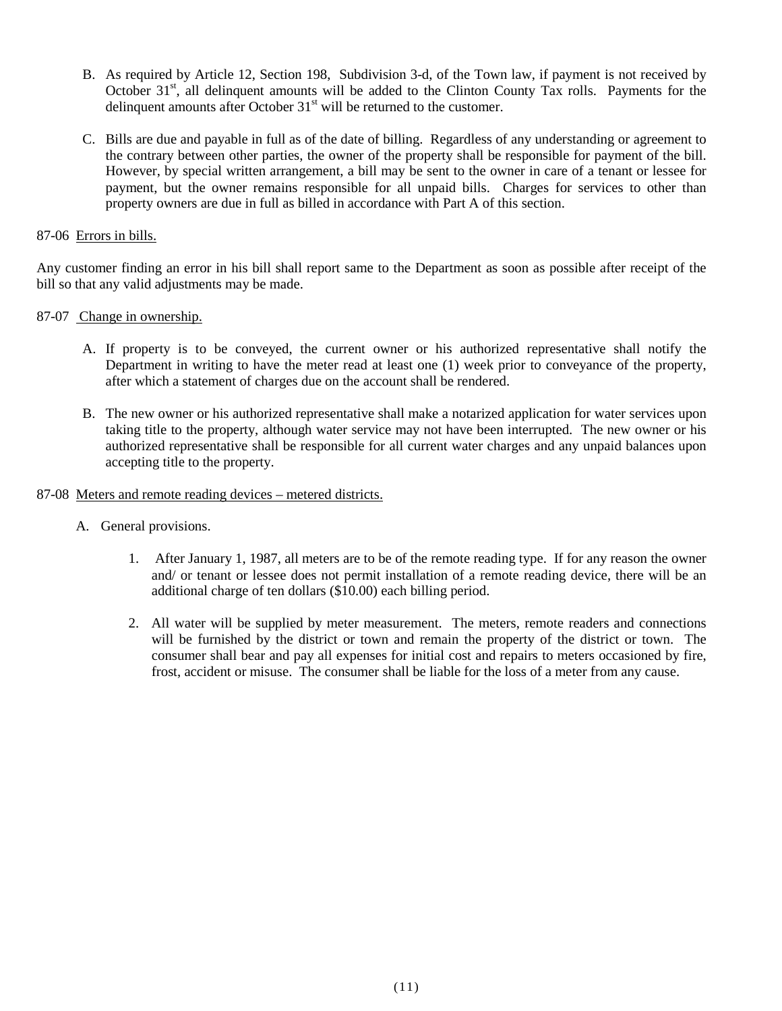- B. As required by Article 12, Section 198, Subdivision 3-d, of the Town law, if payment is not received by October  $31<sup>st</sup>$ , all delinquent amounts will be added to the Clinton County Tax rolls. Payments for the delinquent amounts after October  $31<sup>st</sup>$  will be returned to the customer.
- C. Bills are due and payable in full as of the date of billing. Regardless of any understanding or agreement to the contrary between other parties, the owner of the property shall be responsible for payment of the bill. However, by special written arrangement, a bill may be sent to the owner in care of a tenant or lessee for payment, but the owner remains responsible for all unpaid bills. Charges for services to other than property owners are due in full as billed in accordance with Part A of this section.

## 87-06 Errors in bills.

Any customer finding an error in his bill shall report same to the Department as soon as possible after receipt of the bill so that any valid adjustments may be made.

## 87-07 Change in ownership.

- A. If property is to be conveyed, the current owner or his authorized representative shall notify the Department in writing to have the meter read at least one (1) week prior to conveyance of the property, after which a statement of charges due on the account shall be rendered.
- B. The new owner or his authorized representative shall make a notarized application for water services upon taking title to the property, although water service may not have been interrupted. The new owner or his authorized representative shall be responsible for all current water charges and any unpaid balances upon accepting title to the property.
- 87-08 Meters and remote reading devices metered districts.
	- A. General provisions.
		- 1. After January 1, 1987, all meters are to be of the remote reading type. If for any reason the owner and/ or tenant or lessee does not permit installation of a remote reading device, there will be an additional charge of ten dollars (\$10.00) each billing period.
		- 2. All water will be supplied by meter measurement. The meters, remote readers and connections will be furnished by the district or town and remain the property of the district or town. The consumer shall bear and pay all expenses for initial cost and repairs to meters occasioned by fire, frost, accident or misuse. The consumer shall be liable for the loss of a meter from any cause.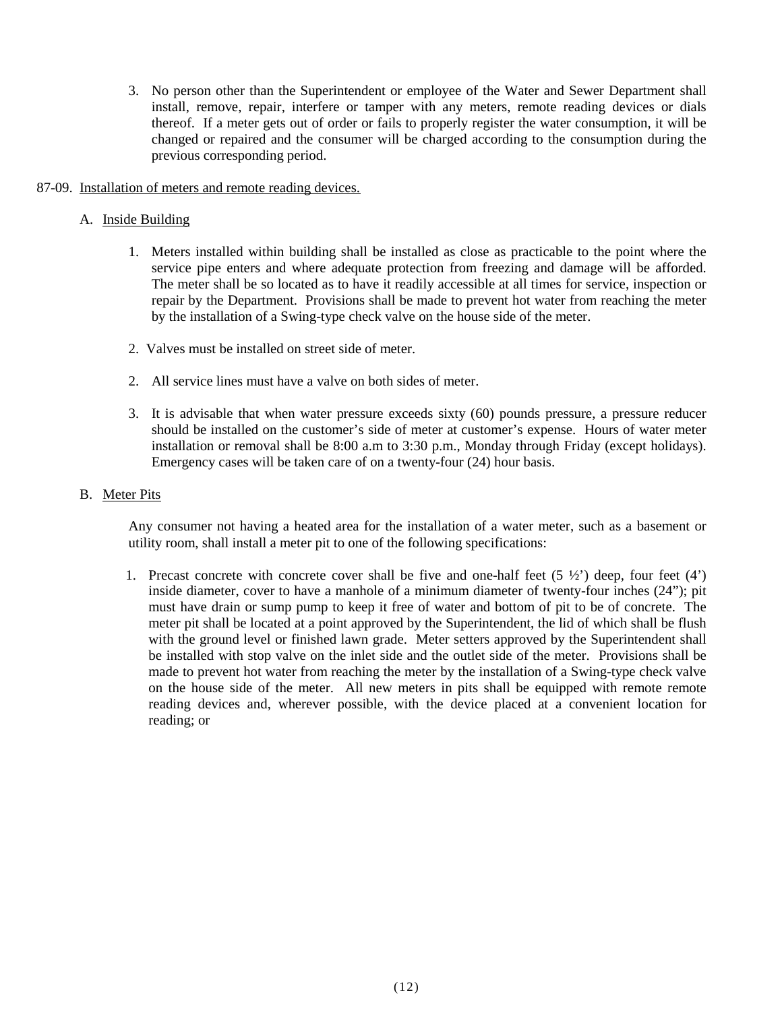- 3. No person other than the Superintendent or employee of the Water and Sewer Department shall install, remove, repair, interfere or tamper with any meters, remote reading devices or dials thereof. If a meter gets out of order or fails to properly register the water consumption, it will be changed or repaired and the consumer will be charged according to the consumption during the previous corresponding period.
- 87-09. Installation of meters and remote reading devices.
	- A. Inside Building
		- 1. Meters installed within building shall be installed as close as practicable to the point where the service pipe enters and where adequate protection from freezing and damage will be afforded. The meter shall be so located as to have it readily accessible at all times for service, inspection or repair by the Department. Provisions shall be made to prevent hot water from reaching the meter by the installation of a Swing-type check valve on the house side of the meter.
		- 2. Valves must be installed on street side of meter.
		- 2. All service lines must have a valve on both sides of meter.
		- 3. It is advisable that when water pressure exceeds sixty (60) pounds pressure, a pressure reducer should be installed on the customer's side of meter at customer's expense. Hours of water meter installation or removal shall be 8:00 a.m to 3:30 p.m., Monday through Friday (except holidays). Emergency cases will be taken care of on a twenty-four (24) hour basis.

#### B. Meter Pits

Any consumer not having a heated area for the installation of a water meter, such as a basement or utility room, shall install a meter pit to one of the following specifications:

1. Precast concrete with concrete cover shall be five and one-half feet  $(5 \frac{1}{2})$  deep, four feet  $(4')$ inside diameter, cover to have a manhole of a minimum diameter of twenty-four inches (24"); pit must have drain or sump pump to keep it free of water and bottom of pit to be of concrete. The meter pit shall be located at a point approved by the Superintendent, the lid of which shall be flush with the ground level or finished lawn grade. Meter setters approved by the Superintendent shall be installed with stop valve on the inlet side and the outlet side of the meter. Provisions shall be made to prevent hot water from reaching the meter by the installation of a Swing-type check valve on the house side of the meter. All new meters in pits shall be equipped with remote remote reading devices and, wherever possible, with the device placed at a convenient location for reading; or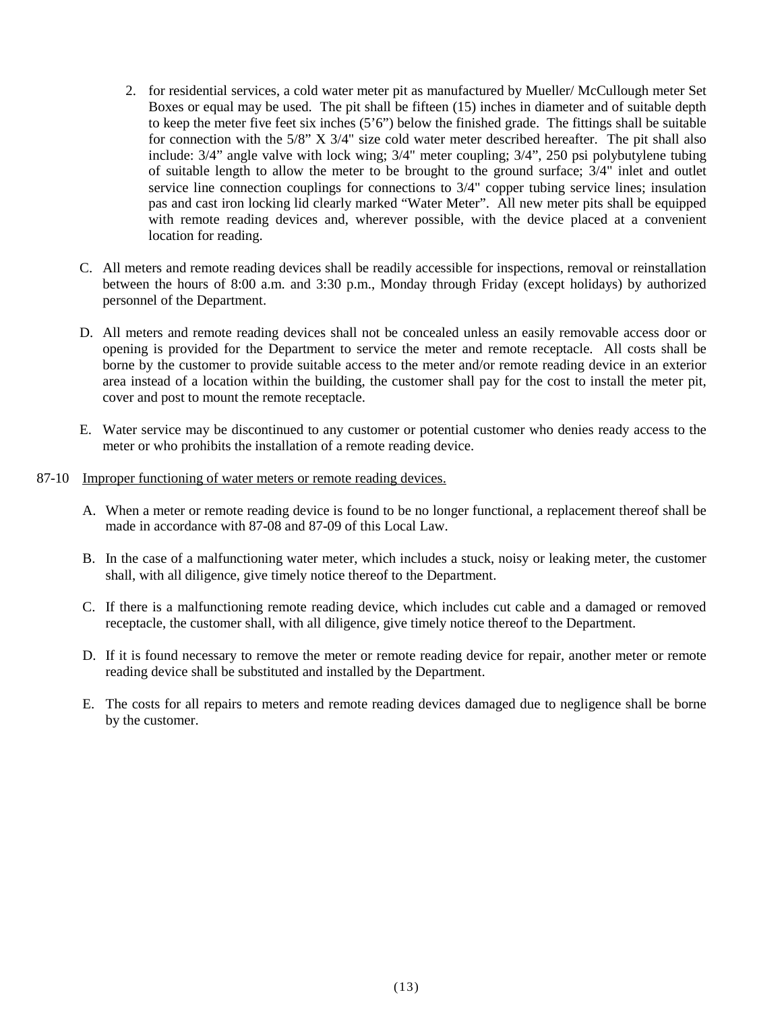- 2. for residential services, a cold water meter pit as manufactured by Mueller/ McCullough meter Set Boxes or equal may be used. The pit shall be fifteen (15) inches in diameter and of suitable depth to keep the meter five feet six inches (5'6") below the finished grade. The fittings shall be suitable for connection with the 5/8" X 3/4" size cold water meter described hereafter. The pit shall also include: 3/4" angle valve with lock wing; 3/4" meter coupling; 3/4", 250 psi polybutylene tubing of suitable length to allow the meter to be brought to the ground surface; 3/4" inlet and outlet service line connection couplings for connections to 3/4" copper tubing service lines; insulation pas and cast iron locking lid clearly marked "Water Meter". All new meter pits shall be equipped with remote reading devices and, wherever possible, with the device placed at a convenient location for reading.
- C. All meters and remote reading devices shall be readily accessible for inspections, removal or reinstallation between the hours of 8:00 a.m. and 3:30 p.m., Monday through Friday (except holidays) by authorized personnel of the Department.
- D. All meters and remote reading devices shall not be concealed unless an easily removable access door or opening is provided for the Department to service the meter and remote receptacle. All costs shall be borne by the customer to provide suitable access to the meter and/or remote reading device in an exterior area instead of a location within the building, the customer shall pay for the cost to install the meter pit, cover and post to mount the remote receptacle.
- E. Water service may be discontinued to any customer or potential customer who denies ready access to the meter or who prohibits the installation of a remote reading device.

#### 87-10 Improper functioning of water meters or remote reading devices.

- A. When a meter or remote reading device is found to be no longer functional, a replacement thereof shall be made in accordance with 87-08 and 87-09 of this Local Law.
- B. In the case of a malfunctioning water meter, which includes a stuck, noisy or leaking meter, the customer shall, with all diligence, give timely notice thereof to the Department.
- C. If there is a malfunctioning remote reading device, which includes cut cable and a damaged or removed receptacle, the customer shall, with all diligence, give timely notice thereof to the Department.
- D. If it is found necessary to remove the meter or remote reading device for repair, another meter or remote reading device shall be substituted and installed by the Department.
- E. The costs for all repairs to meters and remote reading devices damaged due to negligence shall be borne by the customer.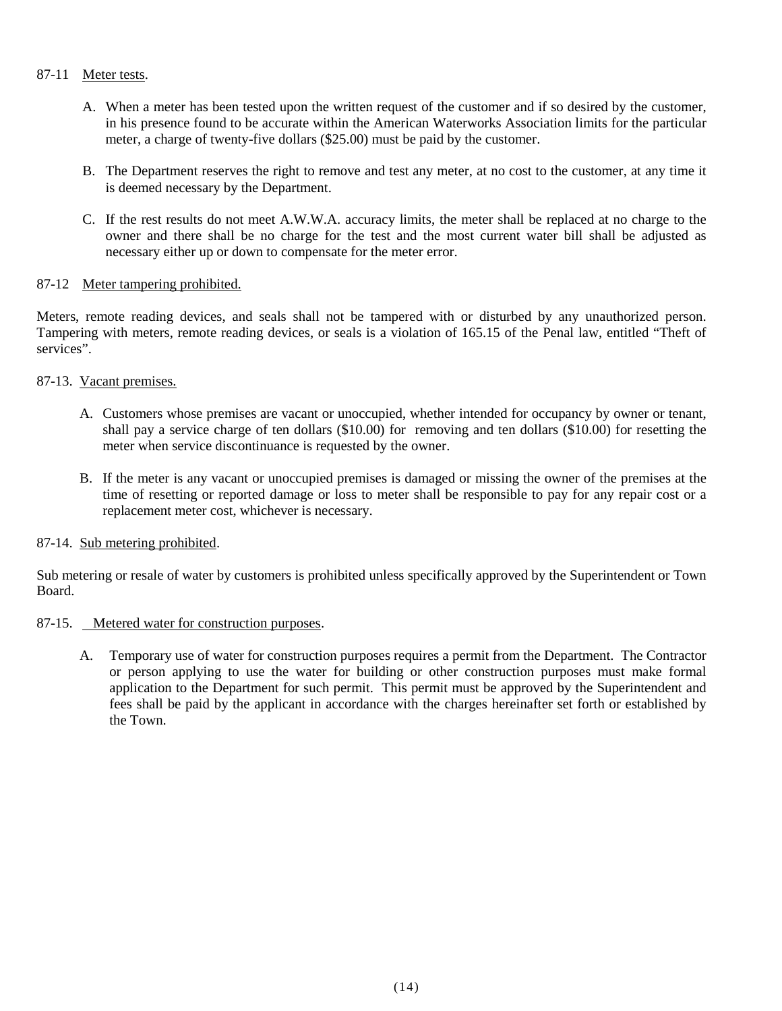## 87-11 Meter tests.

- A. When a meter has been tested upon the written request of the customer and if so desired by the customer, in his presence found to be accurate within the American Waterworks Association limits for the particular meter, a charge of twenty-five dollars (\$25.00) must be paid by the customer.
- B. The Department reserves the right to remove and test any meter, at no cost to the customer, at any time it is deemed necessary by the Department.
- C. If the rest results do not meet A.W.W.A. accuracy limits, the meter shall be replaced at no charge to the owner and there shall be no charge for the test and the most current water bill shall be adjusted as necessary either up or down to compensate for the meter error.

## 87-12 Meter tampering prohibited.

Meters, remote reading devices, and seals shall not be tampered with or disturbed by any unauthorized person. Tampering with meters, remote reading devices, or seals is a violation of 165.15 of the Penal law, entitled "Theft of services".

## 87-13. Vacant premises.

- A. Customers whose premises are vacant or unoccupied, whether intended for occupancy by owner or tenant, shall pay a service charge of ten dollars (\$10.00) for removing and ten dollars (\$10.00) for resetting the meter when service discontinuance is requested by the owner.
- B. If the meter is any vacant or unoccupied premises is damaged or missing the owner of the premises at the time of resetting or reported damage or loss to meter shall be responsible to pay for any repair cost or a replacement meter cost, whichever is necessary.

## 87-14. Sub metering prohibited.

Sub metering or resale of water by customers is prohibited unless specifically approved by the Superintendent or Town Board.

## 87-15. Metered water for construction purposes.

A. Temporary use of water for construction purposes requires a permit from the Department. The Contractor or person applying to use the water for building or other construction purposes must make formal application to the Department for such permit. This permit must be approved by the Superintendent and fees shall be paid by the applicant in accordance with the charges hereinafter set forth or established by the Town.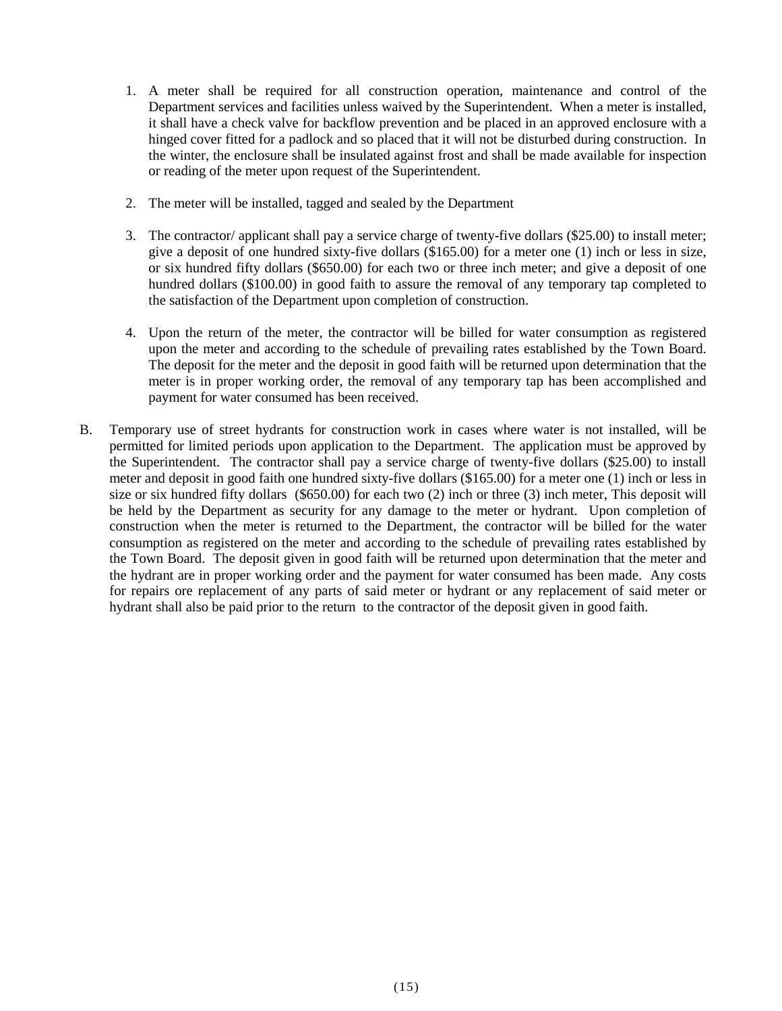- 1. A meter shall be required for all construction operation, maintenance and control of the Department services and facilities unless waived by the Superintendent. When a meter is installed, it shall have a check valve for backflow prevention and be placed in an approved enclosure with a hinged cover fitted for a padlock and so placed that it will not be disturbed during construction. In the winter, the enclosure shall be insulated against frost and shall be made available for inspection or reading of the meter upon request of the Superintendent.
- 2. The meter will be installed, tagged and sealed by the Department
- 3. The contractor/ applicant shall pay a service charge of twenty-five dollars (\$25.00) to install meter; give a deposit of one hundred sixty-five dollars (\$165.00) for a meter one (1) inch or less in size, or six hundred fifty dollars (\$650.00) for each two or three inch meter; and give a deposit of one hundred dollars (\$100.00) in good faith to assure the removal of any temporary tap completed to the satisfaction of the Department upon completion of construction.
- 4. Upon the return of the meter, the contractor will be billed for water consumption as registered upon the meter and according to the schedule of prevailing rates established by the Town Board. The deposit for the meter and the deposit in good faith will be returned upon determination that the meter is in proper working order, the removal of any temporary tap has been accomplished and payment for water consumed has been received.
- B. Temporary use of street hydrants for construction work in cases where water is not installed, will be permitted for limited periods upon application to the Department. The application must be approved by the Superintendent. The contractor shall pay a service charge of twenty-five dollars (\$25.00) to install meter and deposit in good faith one hundred sixty-five dollars (\$165.00) for a meter one (1) inch or less in size or six hundred fifty dollars (\$650.00) for each two (2) inch or three (3) inch meter, This deposit will be held by the Department as security for any damage to the meter or hydrant. Upon completion of construction when the meter is returned to the Department, the contractor will be billed for the water consumption as registered on the meter and according to the schedule of prevailing rates established by the Town Board. The deposit given in good faith will be returned upon determination that the meter and the hydrant are in proper working order and the payment for water consumed has been made. Any costs for repairs ore replacement of any parts of said meter or hydrant or any replacement of said meter or hydrant shall also be paid prior to the return to the contractor of the deposit given in good faith.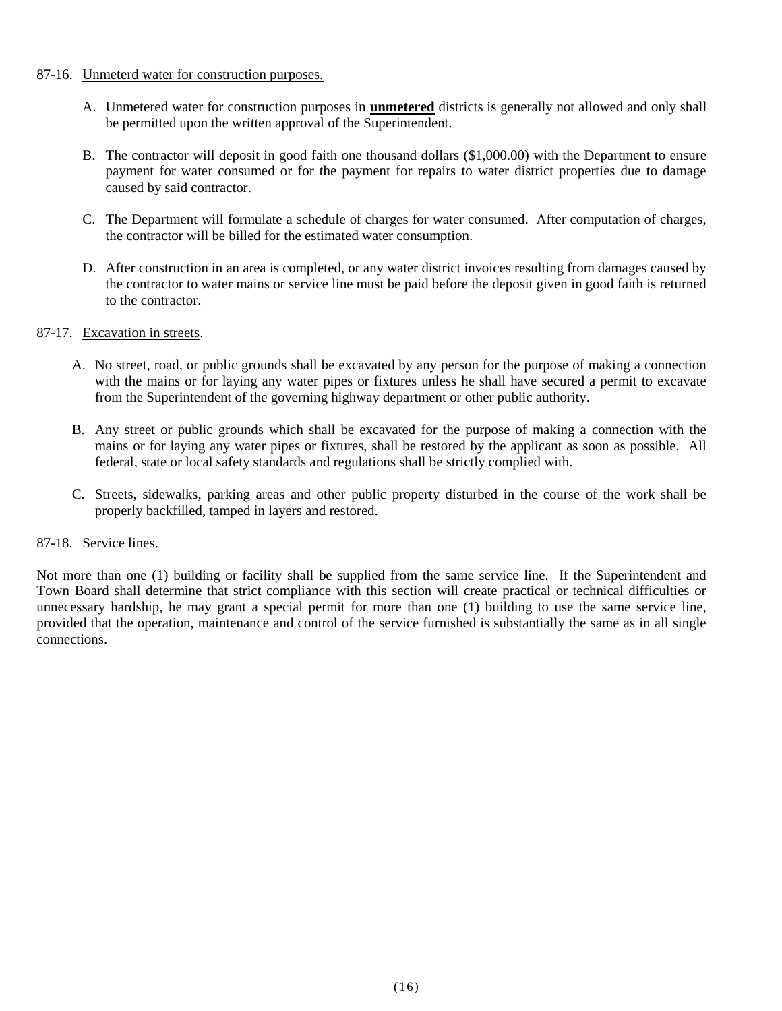#### 87-16. Unmeterd water for construction purposes.

- A. Unmetered water for construction purposes in **unmetered** districts is generally not allowed and only shall be permitted upon the written approval of the Superintendent.
- B. The contractor will deposit in good faith one thousand dollars (\$1,000.00) with the Department to ensure payment for water consumed or for the payment for repairs to water district properties due to damage caused by said contractor.
- C. The Department will formulate a schedule of charges for water consumed. After computation of charges, the contractor will be billed for the estimated water consumption.
- D. After construction in an area is completed, or any water district invoices resulting from damages caused by the contractor to water mains or service line must be paid before the deposit given in good faith is returned to the contractor.

## 87-17. Excavation in streets.

- A. No street, road, or public grounds shall be excavated by any person for the purpose of making a connection with the mains or for laying any water pipes or fixtures unless he shall have secured a permit to excavate from the Superintendent of the governing highway department or other public authority.
- B. Any street or public grounds which shall be excavated for the purpose of making a connection with the mains or for laying any water pipes or fixtures, shall be restored by the applicant as soon as possible. All federal, state or local safety standards and regulations shall be strictly complied with.
- C. Streets, sidewalks, parking areas and other public property disturbed in the course of the work shall be properly backfilled, tamped in layers and restored.

## 87-18. Service lines.

Not more than one (1) building or facility shall be supplied from the same service line. If the Superintendent and Town Board shall determine that strict compliance with this section will create practical or technical difficulties or unnecessary hardship, he may grant a special permit for more than one (1) building to use the same service line, provided that the operation, maintenance and control of the service furnished is substantially the same as in all single connections.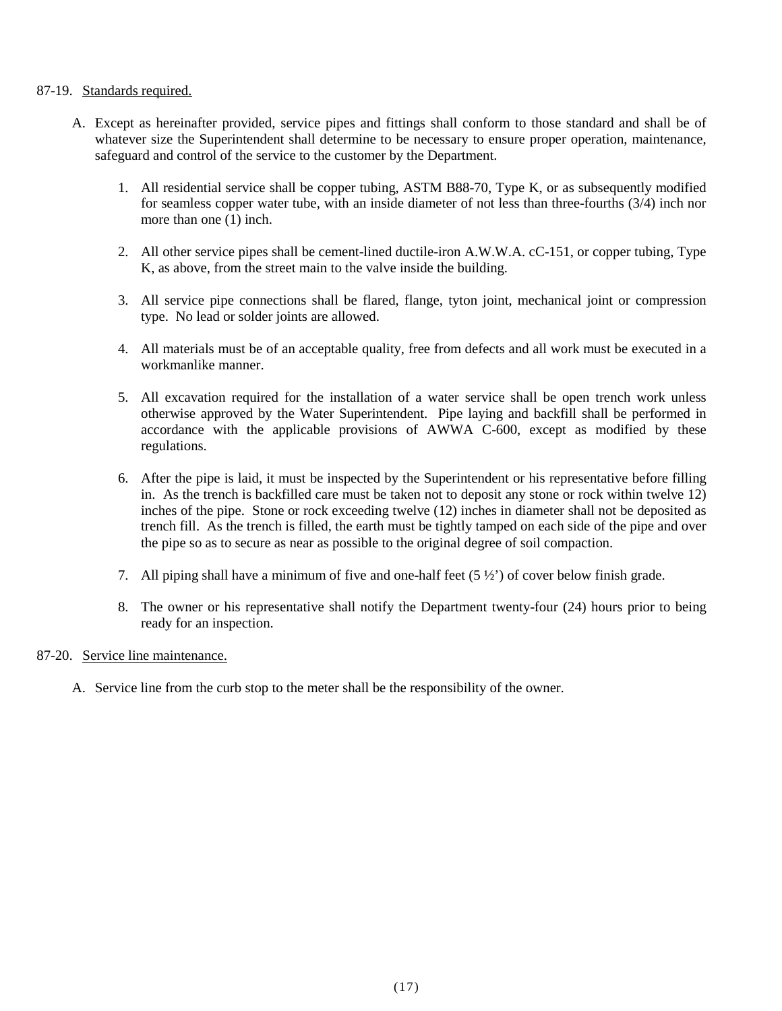## 87-19. Standards required.

- A. Except as hereinafter provided, service pipes and fittings shall conform to those standard and shall be of whatever size the Superintendent shall determine to be necessary to ensure proper operation, maintenance, safeguard and control of the service to the customer by the Department.
	- 1. All residential service shall be copper tubing, ASTM B88-70, Type K, or as subsequently modified for seamless copper water tube, with an inside diameter of not less than three-fourths (3/4) inch nor more than one (1) inch.
	- 2. All other service pipes shall be cement-lined ductile-iron A.W.W.A. cC-151, or copper tubing, Type K, as above, from the street main to the valve inside the building.
	- 3. All service pipe connections shall be flared, flange, tyton joint, mechanical joint or compression type. No lead or solder joints are allowed.
	- 4. All materials must be of an acceptable quality, free from defects and all work must be executed in a workmanlike manner.
	- 5. All excavation required for the installation of a water service shall be open trench work unless otherwise approved by the Water Superintendent. Pipe laying and backfill shall be performed in accordance with the applicable provisions of AWWA C-600, except as modified by these regulations.
	- 6. After the pipe is laid, it must be inspected by the Superintendent or his representative before filling in. As the trench is backfilled care must be taken not to deposit any stone or rock within twelve 12) inches of the pipe. Stone or rock exceeding twelve (12) inches in diameter shall not be deposited as trench fill. As the trench is filled, the earth must be tightly tamped on each side of the pipe and over the pipe so as to secure as near as possible to the original degree of soil compaction.
	- 7. All piping shall have a minimum of five and one-half feet  $(5 \frac{1}{2})$  of cover below finish grade.
	- 8. The owner or his representative shall notify the Department twenty-four (24) hours prior to being ready for an inspection.

## 87-20. Service line maintenance.

A. Service line from the curb stop to the meter shall be the responsibility of the owner.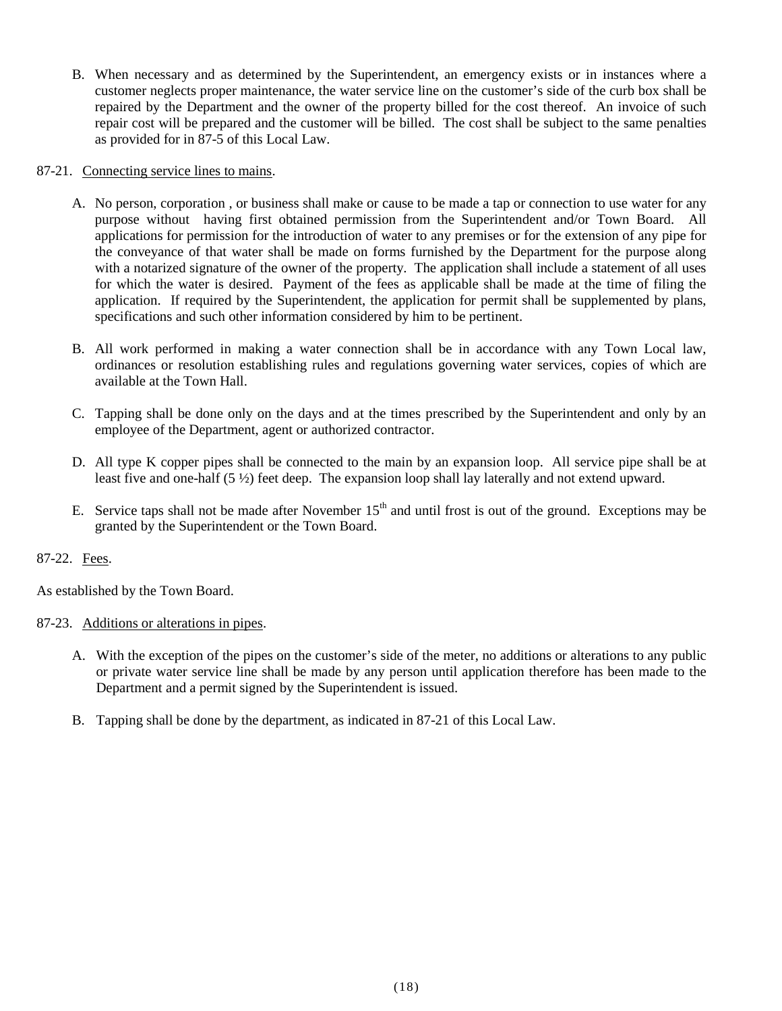B. When necessary and as determined by the Superintendent, an emergency exists or in instances where a customer neglects proper maintenance, the water service line on the customer's side of the curb box shall be repaired by the Department and the owner of the property billed for the cost thereof. An invoice of such repair cost will be prepared and the customer will be billed. The cost shall be subject to the same penalties as provided for in 87-5 of this Local Law.

## 87-21. Connecting service lines to mains.

- A. No person, corporation , or business shall make or cause to be made a tap or connection to use water for any purpose without having first obtained permission from the Superintendent and/or Town Board. All applications for permission for the introduction of water to any premises or for the extension of any pipe for the conveyance of that water shall be made on forms furnished by the Department for the purpose along with a notarized signature of the owner of the property. The application shall include a statement of all uses for which the water is desired. Payment of the fees as applicable shall be made at the time of filing the application. If required by the Superintendent, the application for permit shall be supplemented by plans, specifications and such other information considered by him to be pertinent.
- B. All work performed in making a water connection shall be in accordance with any Town Local law, ordinances or resolution establishing rules and regulations governing water services, copies of which are available at the Town Hall.
- C. Tapping shall be done only on the days and at the times prescribed by the Superintendent and only by an employee of the Department, agent or authorized contractor.
- D. All type K copper pipes shall be connected to the main by an expansion loop. All service pipe shall be at least five and one-half (5 ½) feet deep. The expansion loop shall lay laterally and not extend upward.
- E. Service taps shall not be made after November  $15<sup>th</sup>$  and until frost is out of the ground. Exceptions may be granted by the Superintendent or the Town Board.

## 87-22. Fees.

As established by the Town Board.

## 87-23. Additions or alterations in pipes.

- A. With the exception of the pipes on the customer's side of the meter, no additions or alterations to any public or private water service line shall be made by any person until application therefore has been made to the Department and a permit signed by the Superintendent is issued.
- B. Tapping shall be done by the department, as indicated in 87-21 of this Local Law.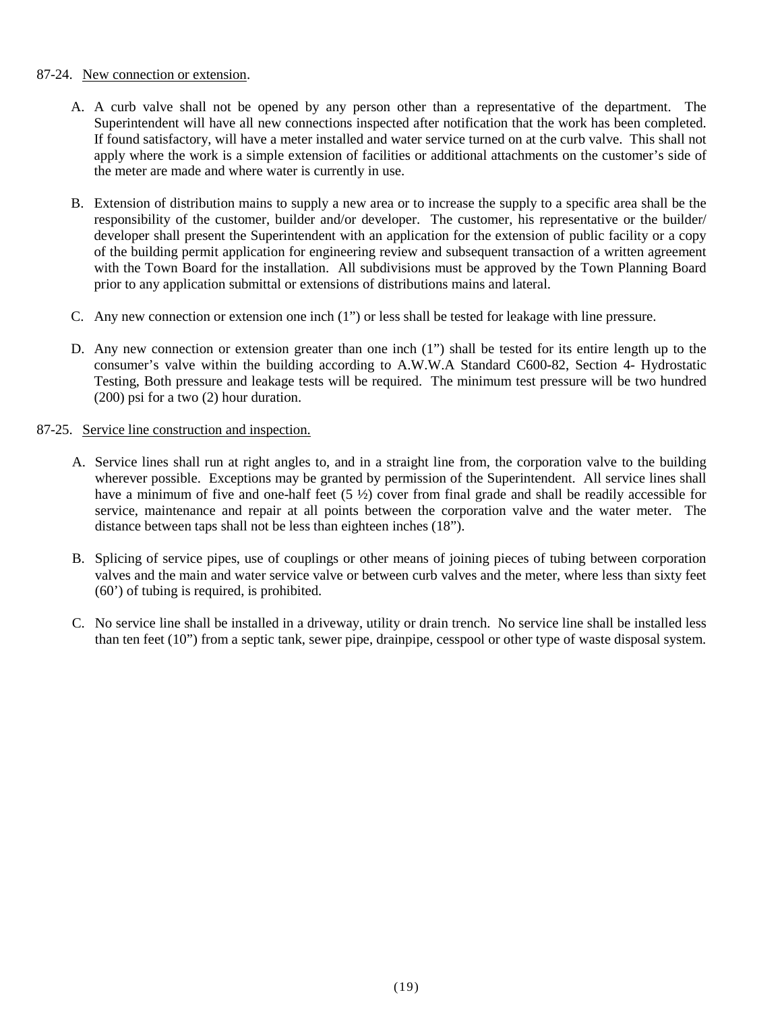#### 87-24. New connection or extension.

- A. A curb valve shall not be opened by any person other than a representative of the department. The Superintendent will have all new connections inspected after notification that the work has been completed. If found satisfactory, will have a meter installed and water service turned on at the curb valve. This shall not apply where the work is a simple extension of facilities or additional attachments on the customer's side of the meter are made and where water is currently in use.
- B. Extension of distribution mains to supply a new area or to increase the supply to a specific area shall be the responsibility of the customer, builder and/or developer. The customer, his representative or the builder/ developer shall present the Superintendent with an application for the extension of public facility or a copy of the building permit application for engineering review and subsequent transaction of a written agreement with the Town Board for the installation. All subdivisions must be approved by the Town Planning Board prior to any application submittal or extensions of distributions mains and lateral.
- C. Any new connection or extension one inch (1") or less shall be tested for leakage with line pressure.
- D. Any new connection or extension greater than one inch (1") shall be tested for its entire length up to the consumer's valve within the building according to A.W.W.A Standard C600-82, Section 4- Hydrostatic Testing, Both pressure and leakage tests will be required. The minimum test pressure will be two hundred (200) psi for a two (2) hour duration.

## 87-25. Service line construction and inspection.

- A. Service lines shall run at right angles to, and in a straight line from, the corporation valve to the building wherever possible. Exceptions may be granted by permission of the Superintendent. All service lines shall have a minimum of five and one-half feet (5  $\frac{1}{2}$ ) cover from final grade and shall be readily accessible for service, maintenance and repair at all points between the corporation valve and the water meter. The distance between taps shall not be less than eighteen inches (18").
- B. Splicing of service pipes, use of couplings or other means of joining pieces of tubing between corporation valves and the main and water service valve or between curb valves and the meter, where less than sixty feet (60') of tubing is required, is prohibited.
- C. No service line shall be installed in a driveway, utility or drain trench. No service line shall be installed less than ten feet (10") from a septic tank, sewer pipe, drainpipe, cesspool or other type of waste disposal system.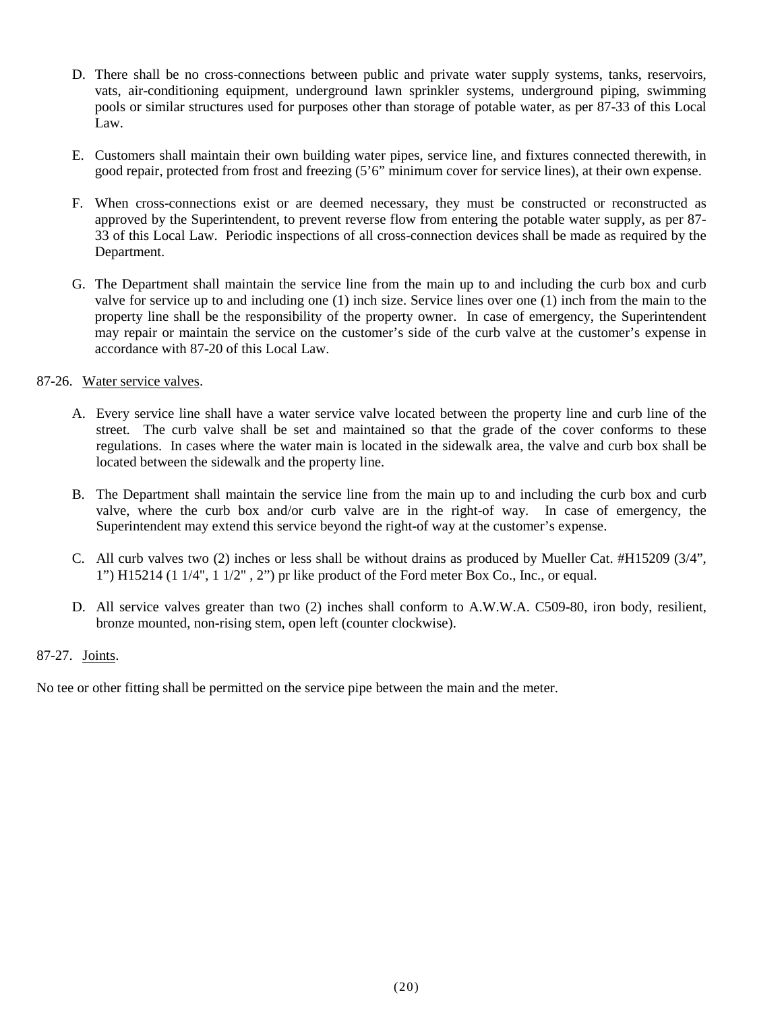- D. There shall be no cross-connections between public and private water supply systems, tanks, reservoirs, vats, air-conditioning equipment, underground lawn sprinkler systems, underground piping, swimming pools or similar structures used for purposes other than storage of potable water, as per 87-33 of this Local Law.
- E. Customers shall maintain their own building water pipes, service line, and fixtures connected therewith, in good repair, protected from frost and freezing (5'6" minimum cover for service lines), at their own expense.
- F. When cross-connections exist or are deemed necessary, they must be constructed or reconstructed as approved by the Superintendent, to prevent reverse flow from entering the potable water supply, as per 87- 33 of this Local Law. Periodic inspections of all cross-connection devices shall be made as required by the Department.
- G. The Department shall maintain the service line from the main up to and including the curb box and curb valve for service up to and including one (1) inch size. Service lines over one (1) inch from the main to the property line shall be the responsibility of the property owner. In case of emergency, the Superintendent may repair or maintain the service on the customer's side of the curb valve at the customer's expense in accordance with 87-20 of this Local Law.

## 87-26. Water service valves.

- A. Every service line shall have a water service valve located between the property line and curb line of the street. The curb valve shall be set and maintained so that the grade of the cover conforms to these regulations. In cases where the water main is located in the sidewalk area, the valve and curb box shall be located between the sidewalk and the property line.
- B. The Department shall maintain the service line from the main up to and including the curb box and curb valve, where the curb box and/or curb valve are in the right-of way. In case of emergency, the Superintendent may extend this service beyond the right-of way at the customer's expense.
- C. All curb valves two (2) inches or less shall be without drains as produced by Mueller Cat. #H15209 (3/4", 1") H15214 (1 1/4", 1 1/2" , 2") pr like product of the Ford meter Box Co., Inc., or equal.
- D. All service valves greater than two (2) inches shall conform to A.W.W.A. C509-80, iron body, resilient, bronze mounted, non-rising stem, open left (counter clockwise).

## 87-27. Joints.

No tee or other fitting shall be permitted on the service pipe between the main and the meter.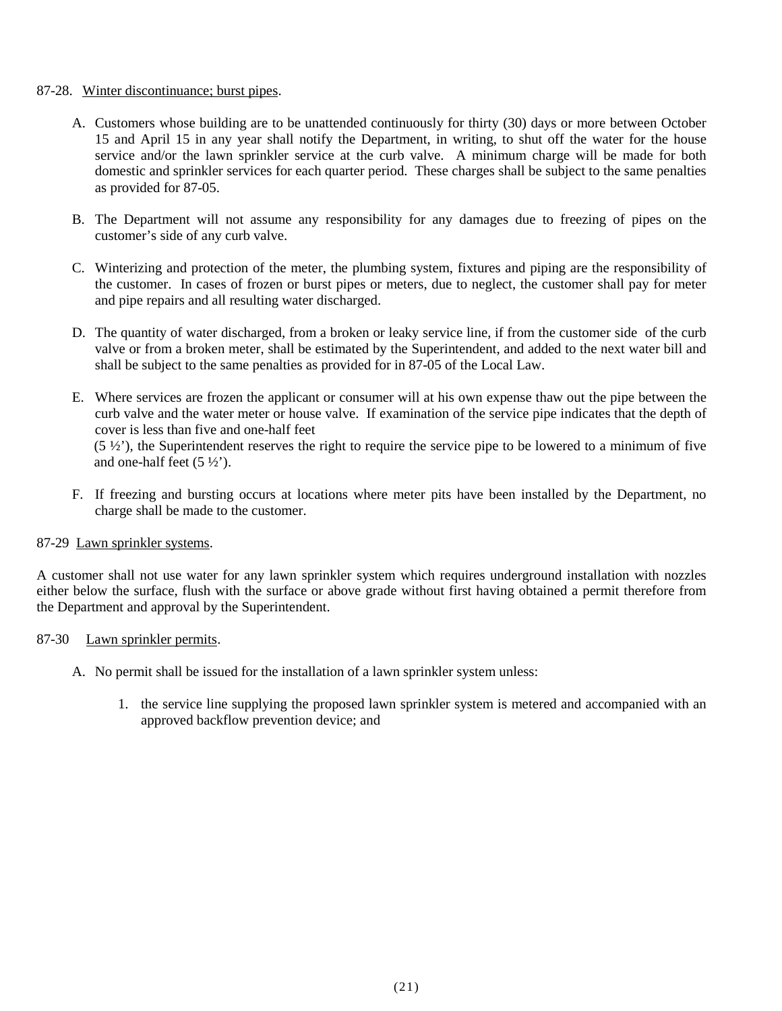#### 87-28. Winter discontinuance; burst pipes.

- A. Customers whose building are to be unattended continuously for thirty (30) days or more between October 15 and April 15 in any year shall notify the Department, in writing, to shut off the water for the house service and/or the lawn sprinkler service at the curb valve. A minimum charge will be made for both domestic and sprinkler services for each quarter period. These charges shall be subject to the same penalties as provided for 87-05.
- B. The Department will not assume any responsibility for any damages due to freezing of pipes on the customer's side of any curb valve.
- C. Winterizing and protection of the meter, the plumbing system, fixtures and piping are the responsibility of the customer. In cases of frozen or burst pipes or meters, due to neglect, the customer shall pay for meter and pipe repairs and all resulting water discharged.
- D. The quantity of water discharged, from a broken or leaky service line, if from the customer side of the curb valve or from a broken meter, shall be estimated by the Superintendent, and added to the next water bill and shall be subject to the same penalties as provided for in 87-05 of the Local Law.
- E. Where services are frozen the applicant or consumer will at his own expense thaw out the pipe between the curb valve and the water meter or house valve. If examination of the service pipe indicates that the depth of cover is less than five and one-half feet  $(5 \frac{1}{2})$ , the Superintendent reserves the right to require the service pipe to be lowered to a minimum of five and one-half feet (5 ½').
- F. If freezing and bursting occurs at locations where meter pits have been installed by the Department, no charge shall be made to the customer.

#### 87-29 Lawn sprinkler systems.

A customer shall not use water for any lawn sprinkler system which requires underground installation with nozzles either below the surface, flush with the surface or above grade without first having obtained a permit therefore from the Department and approval by the Superintendent.

## 87-30 Lawn sprinkler permits.

- A. No permit shall be issued for the installation of a lawn sprinkler system unless:
	- 1. the service line supplying the proposed lawn sprinkler system is metered and accompanied with an approved backflow prevention device; and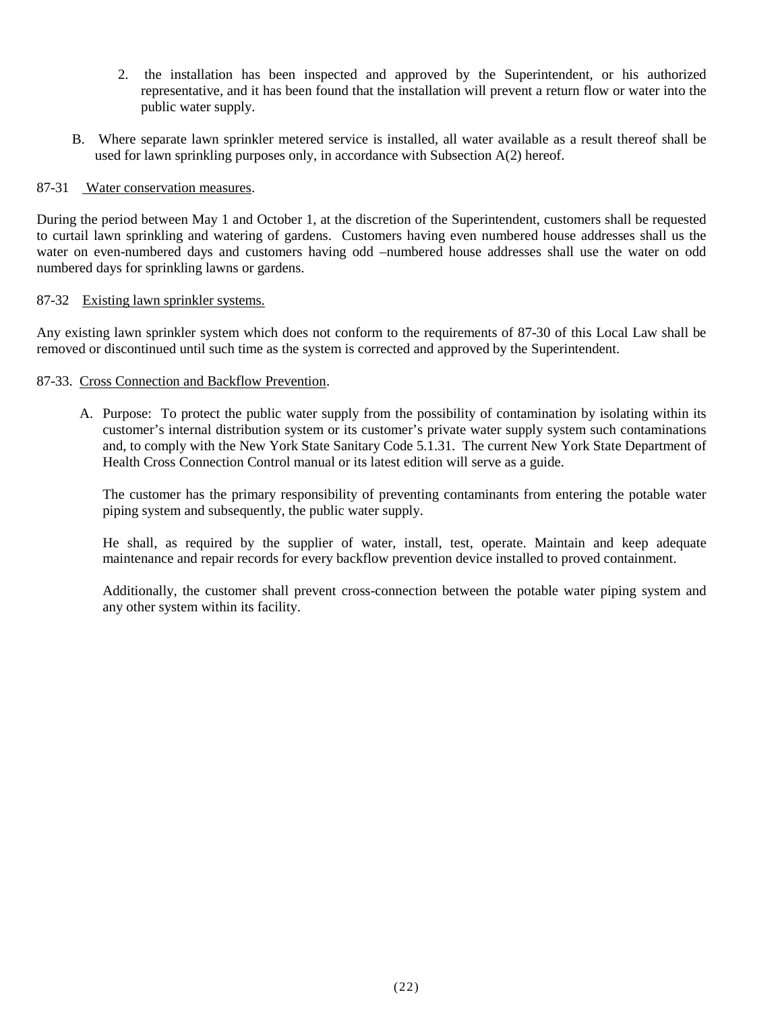- 2. the installation has been inspected and approved by the Superintendent, or his authorized representative, and it has been found that the installation will prevent a return flow or water into the public water supply.
- B. Where separate lawn sprinkler metered service is installed, all water available as a result thereof shall be used for lawn sprinkling purposes only, in accordance with Subsection A(2) hereof.

## 87-31 Water conservation measures.

During the period between May 1 and October 1, at the discretion of the Superintendent, customers shall be requested to curtail lawn sprinkling and watering of gardens. Customers having even numbered house addresses shall us the water on even-numbered days and customers having odd –numbered house addresses shall use the water on odd numbered days for sprinkling lawns or gardens.

## 87-32 Existing lawn sprinkler systems.

Any existing lawn sprinkler system which does not conform to the requirements of 87-30 of this Local Law shall be removed or discontinued until such time as the system is corrected and approved by the Superintendent.

## 87-33. Cross Connection and Backflow Prevention.

A. Purpose: To protect the public water supply from the possibility of contamination by isolating within its customer's internal distribution system or its customer's private water supply system such contaminations and, to comply with the New York State Sanitary Code 5.1.31. The current New York State Department of Health Cross Connection Control manual or its latest edition will serve as a guide.

The customer has the primary responsibility of preventing contaminants from entering the potable water piping system and subsequently, the public water supply.

He shall, as required by the supplier of water, install, test, operate. Maintain and keep adequate maintenance and repair records for every backflow prevention device installed to proved containment.

Additionally, the customer shall prevent cross-connection between the potable water piping system and any other system within its facility.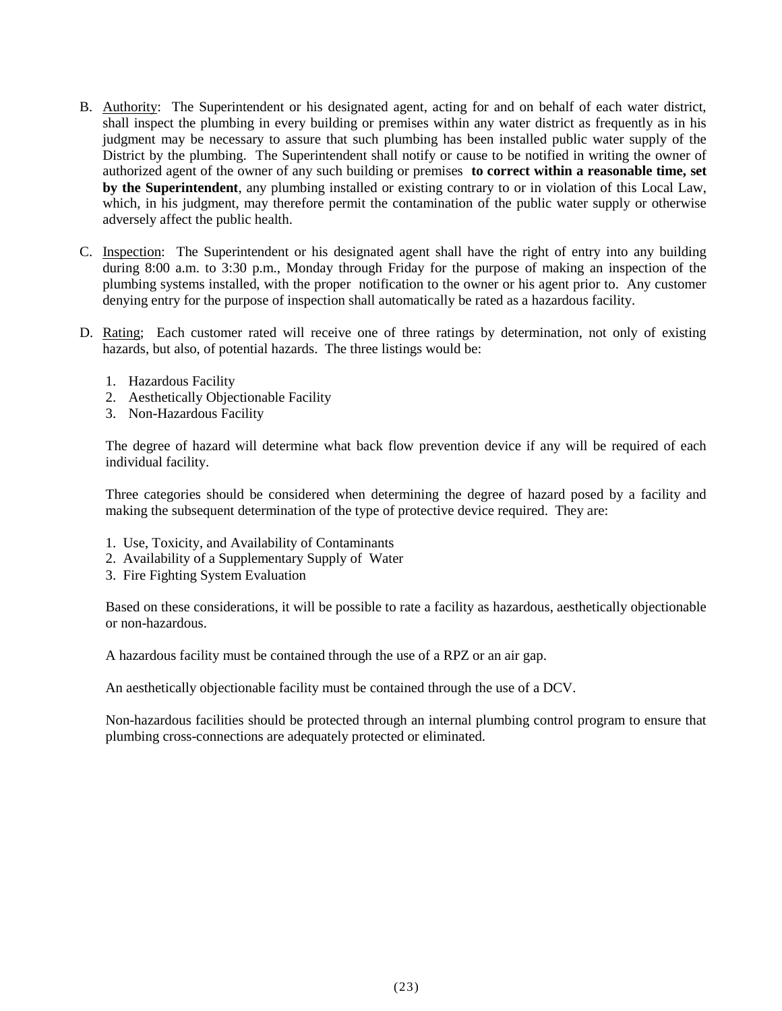- B. Authority: The Superintendent or his designated agent, acting for and on behalf of each water district, shall inspect the plumbing in every building or premises within any water district as frequently as in his judgment may be necessary to assure that such plumbing has been installed public water supply of the District by the plumbing. The Superintendent shall notify or cause to be notified in writing the owner of authorized agent of the owner of any such building or premises **to correct within a reasonable time, set by the Superintendent**, any plumbing installed or existing contrary to or in violation of this Local Law, which, in his judgment, may therefore permit the contamination of the public water supply or otherwise adversely affect the public health.
- C. Inspection: The Superintendent or his designated agent shall have the right of entry into any building during 8:00 a.m. to 3:30 p.m., Monday through Friday for the purpose of making an inspection of the plumbing systems installed, with the proper notification to the owner or his agent prior to. Any customer denying entry for the purpose of inspection shall automatically be rated as a hazardous facility.
- D. Rating; Each customer rated will receive one of three ratings by determination, not only of existing hazards, but also, of potential hazards. The three listings would be:
	- 1. Hazardous Facility
	- 2. Aesthetically Objectionable Facility
	- 3. Non-Hazardous Facility

The degree of hazard will determine what back flow prevention device if any will be required of each individual facility.

Three categories should be considered when determining the degree of hazard posed by a facility and making the subsequent determination of the type of protective device required. They are:

- 1. Use, Toxicity, and Availability of Contaminants
- 2. Availability of a Supplementary Supply of Water
- 3. Fire Fighting System Evaluation

Based on these considerations, it will be possible to rate a facility as hazardous, aesthetically objectionable or non-hazardous.

A hazardous facility must be contained through the use of a RPZ or an air gap.

An aesthetically objectionable facility must be contained through the use of a DCV.

Non-hazardous facilities should be protected through an internal plumbing control program to ensure that plumbing cross-connections are adequately protected or eliminated.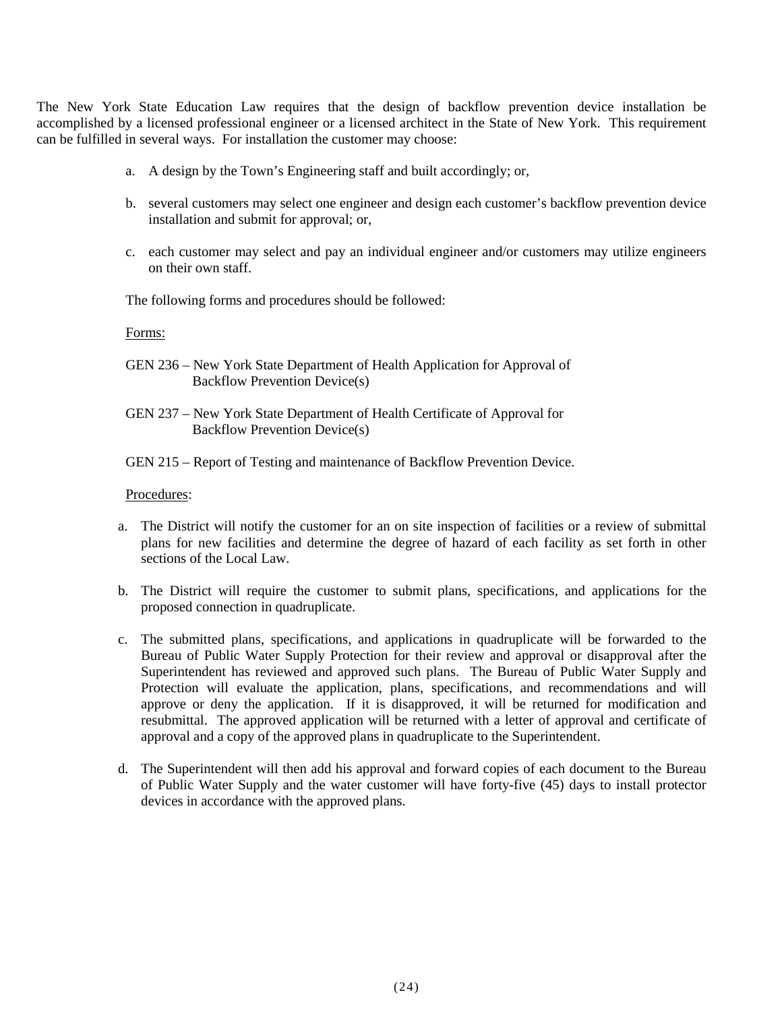The New York State Education Law requires that the design of backflow prevention device installation be accomplished by a licensed professional engineer or a licensed architect in the State of New York. This requirement can be fulfilled in several ways. For installation the customer may choose:

- a. A design by the Town's Engineering staff and built accordingly; or,
- b. several customers may select one engineer and design each customer's backflow prevention device installation and submit for approval; or,
- c. each customer may select and pay an individual engineer and/or customers may utilize engineers on their own staff.

The following forms and procedures should be followed:

Forms:

- GEN 236 New York State Department of Health Application for Approval of Backflow Prevention Device(s)
- GEN 237 New York State Department of Health Certificate of Approval for Backflow Prevention Device(s)
- GEN 215 Report of Testing and maintenance of Backflow Prevention Device.

#### Procedures:

- a. The District will notify the customer for an on site inspection of facilities or a review of submittal plans for new facilities and determine the degree of hazard of each facility as set forth in other sections of the Local Law.
- b. The District will require the customer to submit plans, specifications, and applications for the proposed connection in quadruplicate.
- c. The submitted plans, specifications, and applications in quadruplicate will be forwarded to the Bureau of Public Water Supply Protection for their review and approval or disapproval after the Superintendent has reviewed and approved such plans. The Bureau of Public Water Supply and Protection will evaluate the application, plans, specifications, and recommendations and will approve or deny the application. If it is disapproved, it will be returned for modification and resubmittal. The approved application will be returned with a letter of approval and certificate of approval and a copy of the approved plans in quadruplicate to the Superintendent.
- d. The Superintendent will then add his approval and forward copies of each document to the Bureau of Public Water Supply and the water customer will have forty-five (45) days to install protector devices in accordance with the approved plans.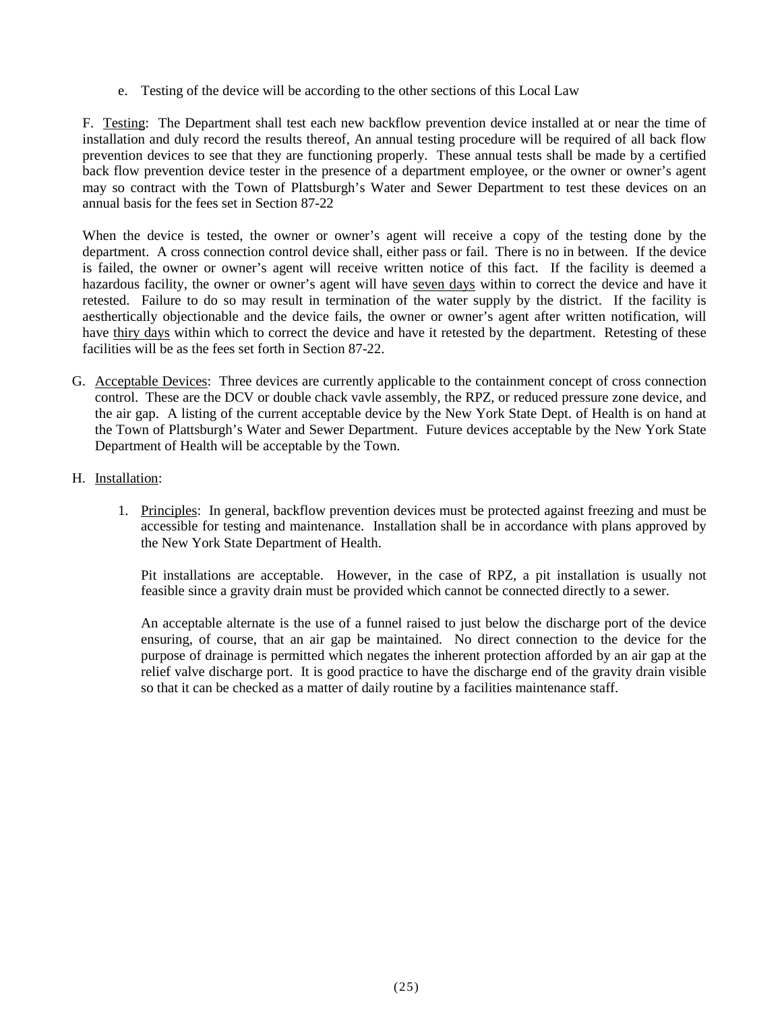e. Testing of the device will be according to the other sections of this Local Law

F. Testing: The Department shall test each new backflow prevention device installed at or near the time of installation and duly record the results thereof, An annual testing procedure will be required of all back flow prevention devices to see that they are functioning properly. These annual tests shall be made by a certified back flow prevention device tester in the presence of a department employee, or the owner or owner's agent may so contract with the Town of Plattsburgh's Water and Sewer Department to test these devices on an annual basis for the fees set in Section 87-22

When the device is tested, the owner or owner's agent will receive a copy of the testing done by the department. A cross connection control device shall, either pass or fail. There is no in between. If the device is failed, the owner or owner's agent will receive written notice of this fact. If the facility is deemed a hazardous facility, the owner or owner's agent will have seven days within to correct the device and have it retested. Failure to do so may result in termination of the water supply by the district. If the facility is aesthertically objectionable and the device fails, the owner or owner's agent after written notification, will have thiry days within which to correct the device and have it retested by the department. Retesting of these facilities will be as the fees set forth in Section 87-22.

- G. Acceptable Devices: Three devices are currently applicable to the containment concept of cross connection control. These are the DCV or double chack vavle assembly, the RPZ, or reduced pressure zone device, and the air gap. A listing of the current acceptable device by the New York State Dept. of Health is on hand at the Town of Plattsburgh's Water and Sewer Department. Future devices acceptable by the New York State Department of Health will be acceptable by the Town.
- H. Installation:
	- 1. Principles: In general, backflow prevention devices must be protected against freezing and must be accessible for testing and maintenance. Installation shall be in accordance with plans approved by the New York State Department of Health.

Pit installations are acceptable. However, in the case of RPZ, a pit installation is usually not feasible since a gravity drain must be provided which cannot be connected directly to a sewer.

An acceptable alternate is the use of a funnel raised to just below the discharge port of the device ensuring, of course, that an air gap be maintained. No direct connection to the device for the purpose of drainage is permitted which negates the inherent protection afforded by an air gap at the relief valve discharge port. It is good practice to have the discharge end of the gravity drain visible so that it can be checked as a matter of daily routine by a facilities maintenance staff.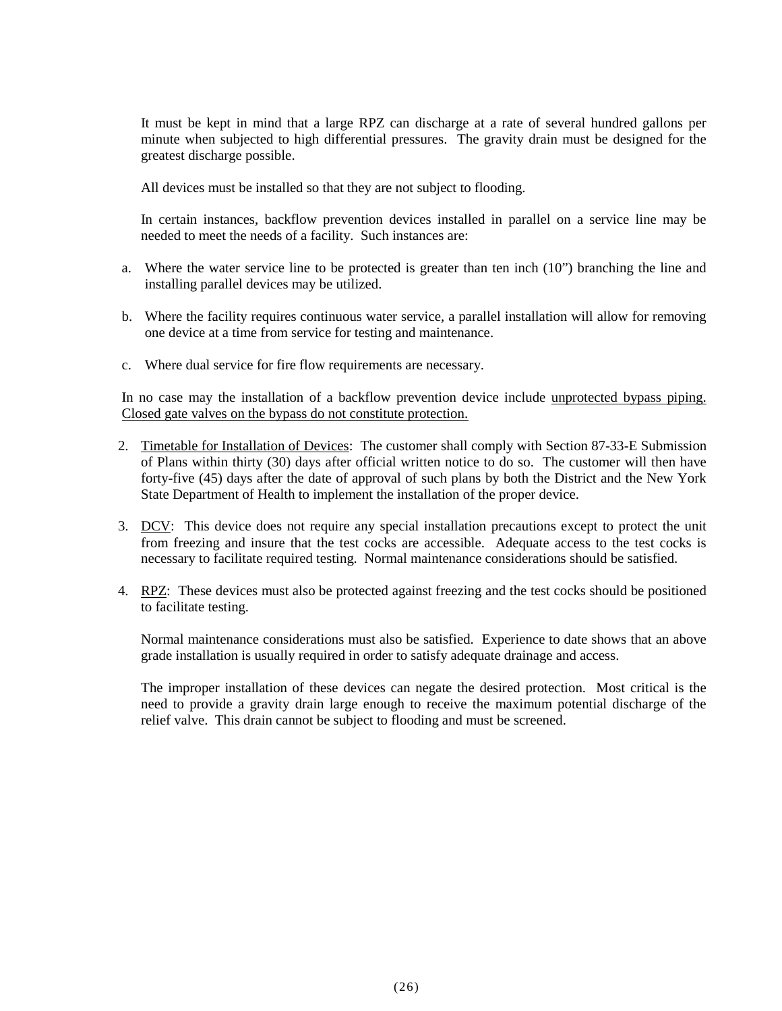It must be kept in mind that a large RPZ can discharge at a rate of several hundred gallons per minute when subjected to high differential pressures. The gravity drain must be designed for the greatest discharge possible.

All devices must be installed so that they are not subject to flooding.

In certain instances, backflow prevention devices installed in parallel on a service line may be needed to meet the needs of a facility. Such instances are:

- a. Where the water service line to be protected is greater than ten inch  $(10")$  branching the line and installing parallel devices may be utilized.
- b. Where the facility requires continuous water service, a parallel installation will allow for removing one device at a time from service for testing and maintenance.
- c. Where dual service for fire flow requirements are necessary.

In no case may the installation of a backflow prevention device include unprotected bypass piping. Closed gate valves on the bypass do not constitute protection.

- 2. Timetable for Installation of Devices: The customer shall comply with Section 87-33-E Submission of Plans within thirty (30) days after official written notice to do so. The customer will then have forty-five (45) days after the date of approval of such plans by both the District and the New York State Department of Health to implement the installation of the proper device.
- 3. DCV: This device does not require any special installation precautions except to protect the unit from freezing and insure that the test cocks are accessible. Adequate access to the test cocks is necessary to facilitate required testing. Normal maintenance considerations should be satisfied.
- 4. RPZ: These devices must also be protected against freezing and the test cocks should be positioned to facilitate testing.

Normal maintenance considerations must also be satisfied. Experience to date shows that an above grade installation is usually required in order to satisfy adequate drainage and access.

The improper installation of these devices can negate the desired protection. Most critical is the need to provide a gravity drain large enough to receive the maximum potential discharge of the relief valve. This drain cannot be subject to flooding and must be screened.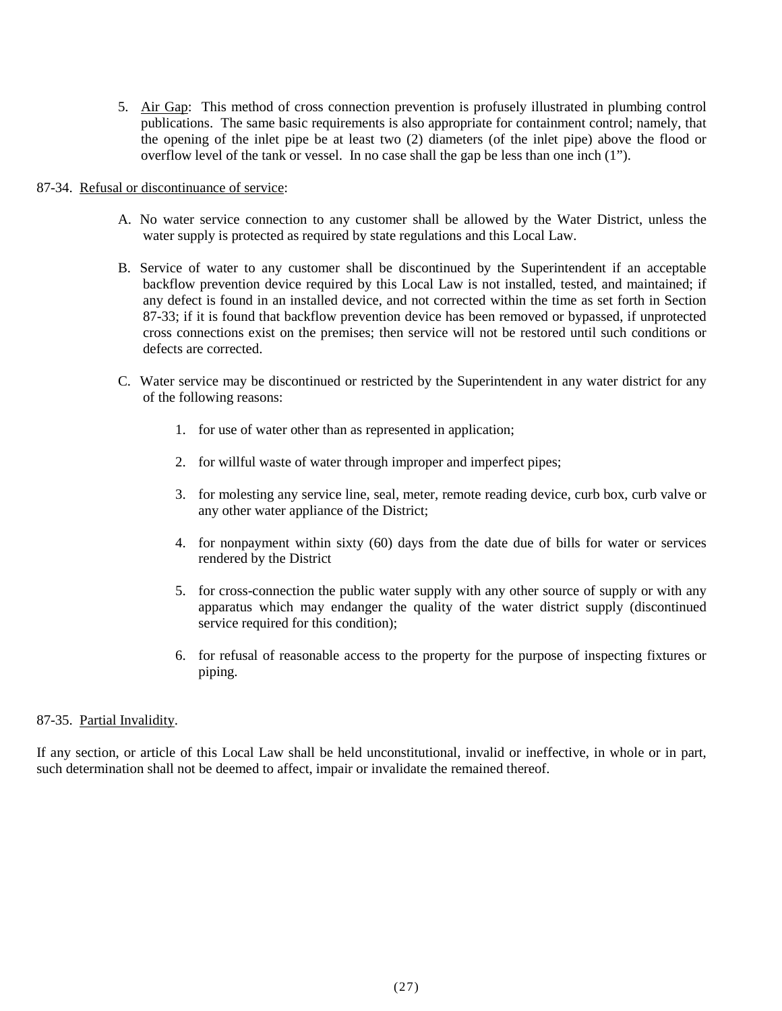5. Air Gap: This method of cross connection prevention is profusely illustrated in plumbing control publications. The same basic requirements is also appropriate for containment control; namely, that the opening of the inlet pipe be at least two (2) diameters (of the inlet pipe) above the flood or overflow level of the tank or vessel. In no case shall the gap be less than one inch (1").

#### 87-34. Refusal or discontinuance of service:

- A. No water service connection to any customer shall be allowed by the Water District, unless the water supply is protected as required by state regulations and this Local Law.
- B. Service of water to any customer shall be discontinued by the Superintendent if an acceptable backflow prevention device required by this Local Law is not installed, tested, and maintained; if any defect is found in an installed device, and not corrected within the time as set forth in Section 87-33; if it is found that backflow prevention device has been removed or bypassed, if unprotected cross connections exist on the premises; then service will not be restored until such conditions or defects are corrected.
- C. Water service may be discontinued or restricted by the Superintendent in any water district for any of the following reasons:
	- 1. for use of water other than as represented in application;
	- 2. for willful waste of water through improper and imperfect pipes;
	- 3. for molesting any service line, seal, meter, remote reading device, curb box, curb valve or any other water appliance of the District;
	- 4. for nonpayment within sixty (60) days from the date due of bills for water or services rendered by the District
	- 5. for cross-connection the public water supply with any other source of supply or with any apparatus which may endanger the quality of the water district supply (discontinued service required for this condition);
	- 6. for refusal of reasonable access to the property for the purpose of inspecting fixtures or piping.

## 87-35. Partial Invalidity.

If any section, or article of this Local Law shall be held unconstitutional, invalid or ineffective, in whole or in part, such determination shall not be deemed to affect, impair or invalidate the remained thereof.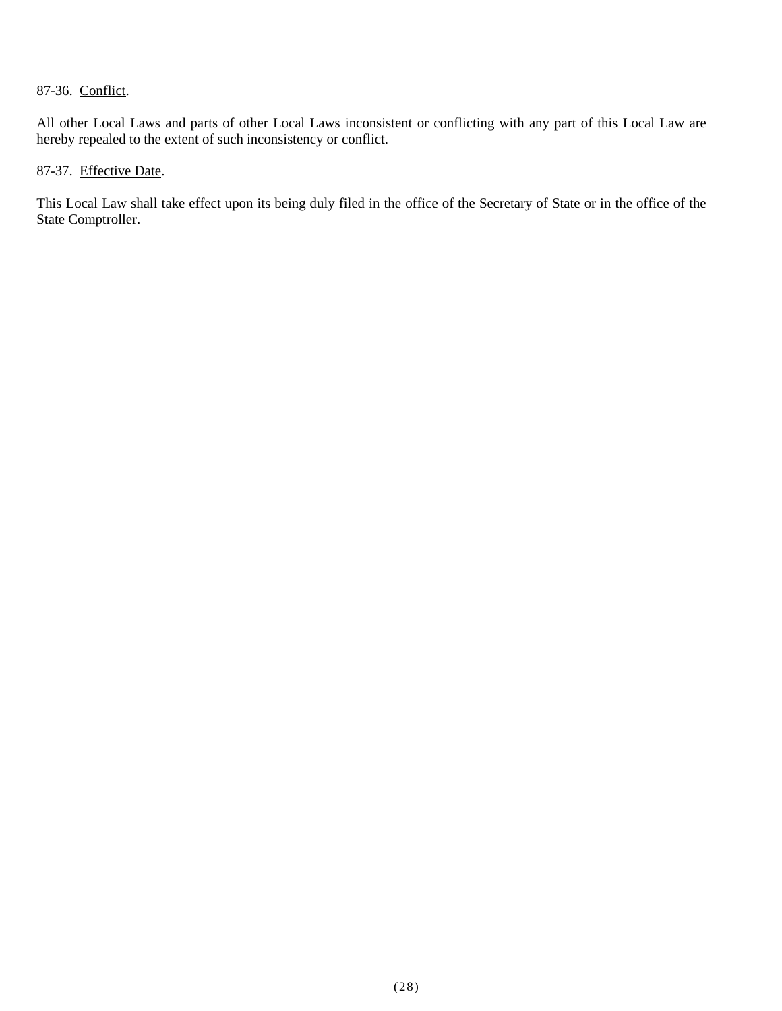# 87-36. Conflict.

All other Local Laws and parts of other Local Laws inconsistent or conflicting with any part of this Local Law are hereby repealed to the extent of such inconsistency or conflict.

# 87-37. Effective Date.

This Local Law shall take effect upon its being duly filed in the office of the Secretary of State or in the office of the State Comptroller.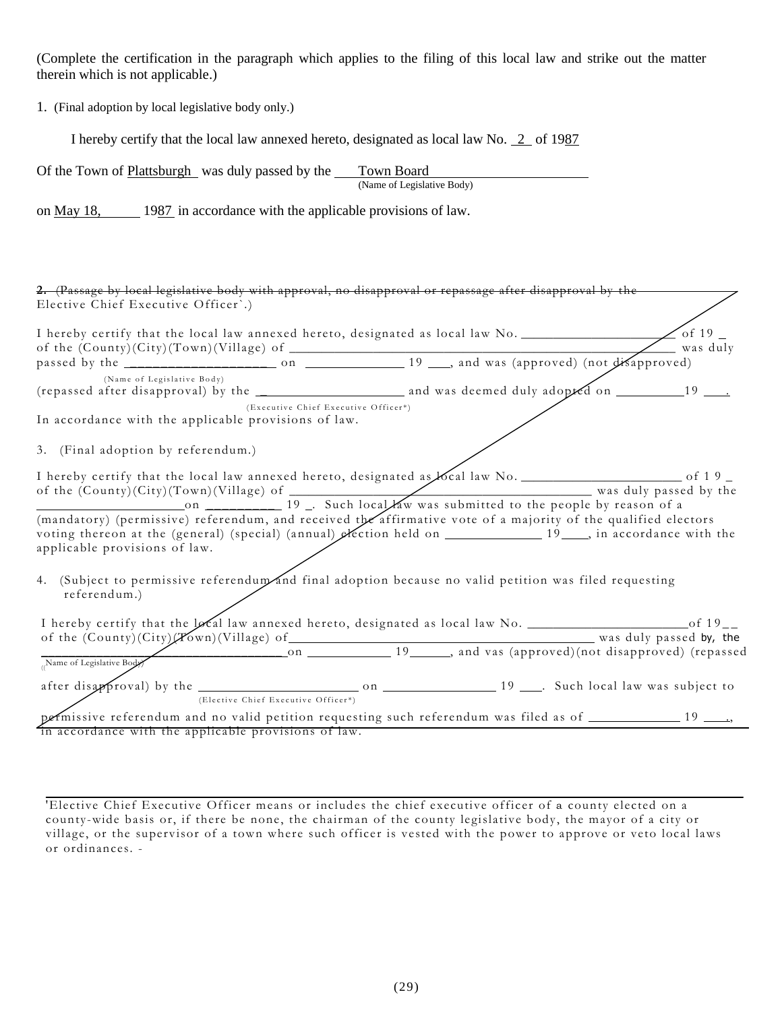(Complete the certification in the paragraph which applies to the filing of this local law and strike out the matter therein which is not applicable.)

1. (Final adoption by local legislative body only.)

I hereby certify that the local law annexed hereto, designated as local law No. 2 of 1987

| Of the Town of Plattsburgh was duly passed by the | Town Board                 |
|---------------------------------------------------|----------------------------|
|                                                   | (Name of Legislative Body) |

on <u>May 18</u>, 1987 in accordance with the applicable provisions of law.

| 2. (Passage by local legislative body with approval, no disapproval or repassage after disapproval by the<br>Elective Chief Executive Officer'.)                                                                                                                                                                                                                                                                                                                                                                  |                                      |            |
|-------------------------------------------------------------------------------------------------------------------------------------------------------------------------------------------------------------------------------------------------------------------------------------------------------------------------------------------------------------------------------------------------------------------------------------------------------------------------------------------------------------------|--------------------------------------|------------|
|                                                                                                                                                                                                                                                                                                                                                                                                                                                                                                                   |                                      | _ was duly |
|                                                                                                                                                                                                                                                                                                                                                                                                                                                                                                                   |                                      |            |
| (Name of Legislative Body)                                                                                                                                                                                                                                                                                                                                                                                                                                                                                        |                                      |            |
| In accordance with the applicable provisions of law.                                                                                                                                                                                                                                                                                                                                                                                                                                                              | (Executive Chief Executive Officer*) |            |
| 3. (Final adoption by referendum.)                                                                                                                                                                                                                                                                                                                                                                                                                                                                                |                                      |            |
| I hereby certify that the local law annexed hereto, designated as local law No. _________________________ of 19_<br>of the (County)(City)(Town)(Village) of $\frac{1}{19}$ . Such local Yaw was submitted to the people by reason of a<br>(mandatory) (permissive) referendum, and received the affirmative vote of a majority of the qualified electors<br>voting thereon at the (general) (special) (annual) exection held on __________________19____, in accordance with the<br>applicable provisions of law. |                                      |            |
| 4. (Subject to permissive referendum and final adoption because no valid petition was filed requesting<br>referendum.)                                                                                                                                                                                                                                                                                                                                                                                            |                                      |            |
|                                                                                                                                                                                                                                                                                                                                                                                                                                                                                                                   |                                      |            |
| $\frac{19}{\omega}$ and vas (approved) (not disapproved) (repassed by, the                                                                                                                                                                                                                                                                                                                                                                                                                                        |                                      |            |
|                                                                                                                                                                                                                                                                                                                                                                                                                                                                                                                   | (Elective Chief Executive Officer*)  |            |
| permissive referendum and no valid petition requesting such referendum was filed as of __________ 19 ___.                                                                                                                                                                                                                                                                                                                                                                                                         |                                      |            |
| in accordance with the applicable provisions of law.                                                                                                                                                                                                                                                                                                                                                                                                                                                              |                                      |            |

'Elective Chief Executive Officer means or includes the chief executive officer of a county elected on a county-wide basis or, if there be none, the chairman of the county legislative body, the mayor of a city or village, or the supervisor of a town where such officer is vested with the power to approve or veto local laws or ordinances. -